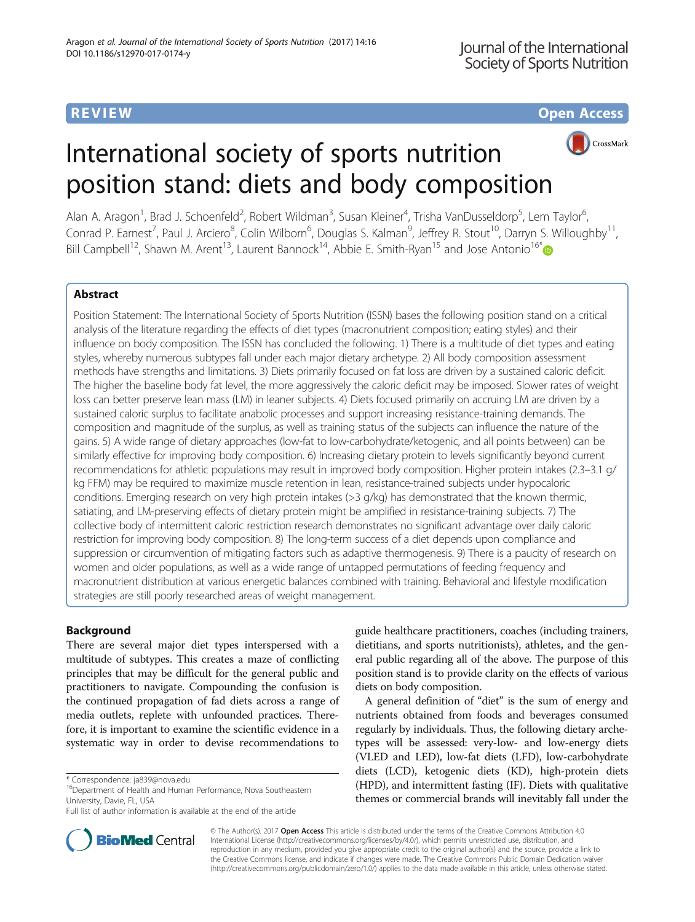**REVIEW CONSTRUCTION CONSTRUCTION CONSTRUCTS** 



# International society of sports nutrition position stand: diets and body composition

Alan A. Aragon<sup>1</sup>, Brad J. Schoenfeld<sup>2</sup>, Robert Wildman<sup>3</sup>, Susan Kleiner<sup>4</sup>, Trisha VanDusseldorp<sup>5</sup>, Lem Taylor<sup>6</sup> י<br>, Conrad P. Earnest<sup>7</sup>, Paul J. Arciero<sup>8</sup>, Colin Wilborn<sup>6</sup>, Douglas S. Kalman<sup>9</sup>, Jeffrey R. Stout<sup>10</sup>, Darryn S. Willoughby<sup>11</sup>, Bill Campbell<sup>12</sup>, Shawn M. Arent<sup>13</sup>, Laurent Bannock<sup>14</sup>, Abbie E. Smith-Ryan<sup>15</sup> and Jose Antonio<sup>16[\\*](http://orcid.org/0000-0002-8930-1058)</sup>

# Abstract

Position Statement: The International Society of Sports Nutrition (ISSN) bases the following position stand on a critical analysis of the literature regarding the effects of diet types (macronutrient composition; eating styles) and their influence on body composition. The ISSN has concluded the following. 1) There is a multitude of diet types and eating styles, whereby numerous subtypes fall under each major dietary archetype. 2) All body composition assessment methods have strengths and limitations. 3) Diets primarily focused on fat loss are driven by a sustained caloric deficit. The higher the baseline body fat level, the more aggressively the caloric deficit may be imposed. Slower rates of weight loss can better preserve lean mass (LM) in leaner subjects. 4) Diets focused primarily on accruing LM are driven by a sustained caloric surplus to facilitate anabolic processes and support increasing resistance-training demands. The composition and magnitude of the surplus, as well as training status of the subjects can influence the nature of the gains. 5) A wide range of dietary approaches (low-fat to low-carbohydrate/ketogenic, and all points between) can be similarly effective for improving body composition. 6) Increasing dietary protein to levels significantly beyond current recommendations for athletic populations may result in improved body composition. Higher protein intakes (2.3–3.1 g/ kg FFM) may be required to maximize muscle retention in lean, resistance-trained subjects under hypocaloric conditions. Emerging research on very high protein intakes (>3 g/kg) has demonstrated that the known thermic, satiating, and LM-preserving effects of dietary protein might be amplified in resistance-training subjects. 7) The collective body of intermittent caloric restriction research demonstrates no significant advantage over daily caloric restriction for improving body composition. 8) The long-term success of a diet depends upon compliance and suppression or circumvention of mitigating factors such as adaptive thermogenesis. 9) There is a paucity of research on women and older populations, as well as a wide range of untapped permutations of feeding frequency and macronutrient distribution at various energetic balances combined with training. Behavioral and lifestyle modification strategies are still poorly researched areas of weight management.

# Background

There are several major diet types interspersed with a multitude of subtypes. This creates a maze of conflicting principles that may be difficult for the general public and practitioners to navigate. Compounding the confusion is the continued propagation of fad diets across a range of media outlets, replete with unfounded practices. Therefore, it is important to examine the scientific evidence in a systematic way in order to devise recommendations to

\* Correspondence: [ja839@nova.edu](mailto:ja839@nova.edu)<br><sup>16</sup>Department of Health and Human Performance, Nova Southeastern University, Davie, FL, USA



A general definition of "diet" is the sum of energy and nutrients obtained from foods and beverages consumed regularly by individuals. Thus, the following dietary archetypes will be assessed: very-low- and low-energy diets (VLED and LED), low-fat diets (LFD), low-carbohydrate diets (LCD), ketogenic diets (KD), high-protein diets (HPD), and intermittent fasting (IF). Diets with qualitative themes or commercial brands will inevitably fall under the



© The Author(s). 2017 **Open Access** This article is distributed under the terms of the Creative Commons Attribution 4.0 International License [\(http://creativecommons.org/licenses/by/4.0/](http://creativecommons.org/licenses/by/4.0/)), which permits unrestricted use, distribution, and reproduction in any medium, provided you give appropriate credit to the original author(s) and the source, provide a link to the Creative Commons license, and indicate if changes were made. The Creative Commons Public Domain Dedication waiver [\(http://creativecommons.org/publicdomain/zero/1.0/](http://creativecommons.org/publicdomain/zero/1.0/)) applies to the data made available in this article, unless otherwise stated.

Full list of author information is available at the end of the article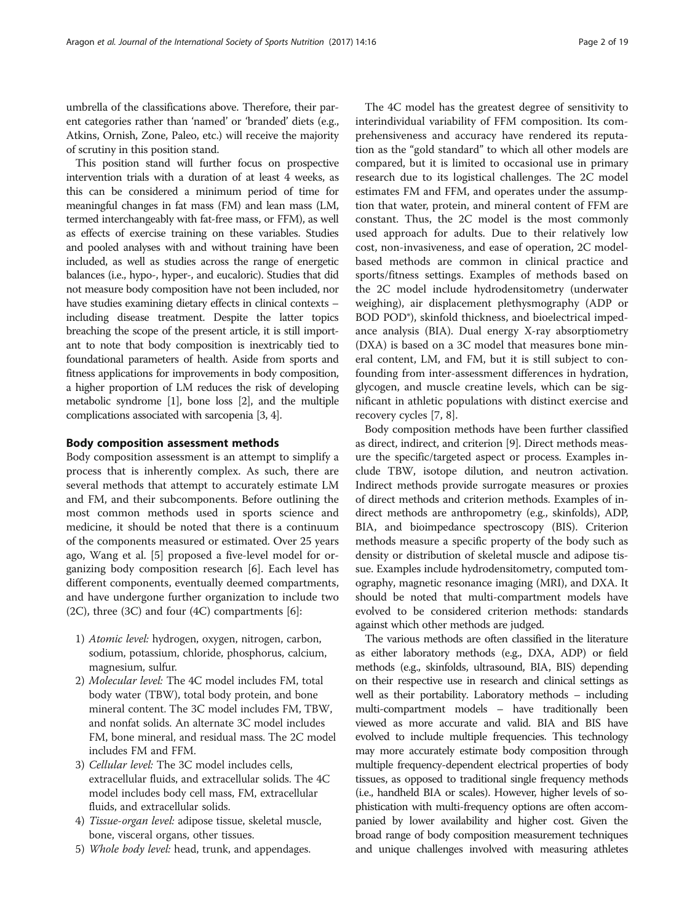umbrella of the classifications above. Therefore, their parent categories rather than 'named' or 'branded' diets (e.g., Atkins, Ornish, Zone, Paleo, etc.) will receive the majority of scrutiny in this position stand.

This position stand will further focus on prospective intervention trials with a duration of at least 4 weeks, as this can be considered a minimum period of time for meaningful changes in fat mass (FM) and lean mass (LM, termed interchangeably with fat-free mass, or FFM), as well as effects of exercise training on these variables. Studies and pooled analyses with and without training have been included, as well as studies across the range of energetic balances (i.e., hypo-, hyper-, and eucaloric). Studies that did not measure body composition have not been included, nor have studies examining dietary effects in clinical contexts including disease treatment. Despite the latter topics breaching the scope of the present article, it is still important to note that body composition is inextricably tied to foundational parameters of health. Aside from sports and fitness applications for improvements in body composition, a higher proportion of LM reduces the risk of developing metabolic syndrome [\[1\]](#page-15-0), bone loss [\[2\]](#page-15-0), and the multiple complications associated with sarcopenia [[3](#page-15-0), [4\]](#page-15-0).

#### Body composition assessment methods

Body composition assessment is an attempt to simplify a process that is inherently complex. As such, there are several methods that attempt to accurately estimate LM and FM, and their subcomponents. Before outlining the most common methods used in sports science and medicine, it should be noted that there is a continuum of the components measured or estimated. Over 25 years ago, Wang et al. [\[5](#page-15-0)] proposed a five-level model for organizing body composition research [[6](#page-15-0)]. Each level has different components, eventually deemed compartments, and have undergone further organization to include two  $(2C)$ , three  $(3C)$  and four  $(4C)$  compartments  $[6]$  $[6]$ :

- 1) Atomic level: hydrogen, oxygen, nitrogen, carbon, sodium, potassium, chloride, phosphorus, calcium, magnesium, sulfur.
- 2) Molecular level: The 4C model includes FM, total body water (TBW), total body protein, and bone mineral content. The 3C model includes FM, TBW, and nonfat solids. An alternate 3C model includes FM, bone mineral, and residual mass. The 2C model includes FM and FFM.
- 3) Cellular level: The 3C model includes cells, extracellular fluids, and extracellular solids. The 4C model includes body cell mass, FM, extracellular fluids, and extracellular solids.
- 4) Tissue-organ level: adipose tissue, skeletal muscle, bone, visceral organs, other tissues.
- 5) Whole body level: head, trunk, and appendages.

The 4C model has the greatest degree of sensitivity to interindividual variability of FFM composition. Its comprehensiveness and accuracy have rendered its reputation as the "gold standard" to which all other models are compared, but it is limited to occasional use in primary research due to its logistical challenges. The 2C model estimates FM and FFM, and operates under the assumption that water, protein, and mineral content of FFM are constant. Thus, the 2C model is the most commonly used approach for adults. Due to their relatively low cost, non-invasiveness, and ease of operation, 2C modelbased methods are common in clinical practice and sports/fitness settings. Examples of methods based on the 2C model include hydrodensitometry (underwater weighing), air displacement plethysmography (ADP or BOD POD®), skinfold thickness, and bioelectrical impedance analysis (BIA). Dual energy X-ray absorptiometry (DXA) is based on a 3C model that measures bone mineral content, LM, and FM, but it is still subject to confounding from inter-assessment differences in hydration, glycogen, and muscle creatine levels, which can be significant in athletic populations with distinct exercise and recovery cycles [\[7](#page-15-0), [8](#page-15-0)].

Body composition methods have been further classified as direct, indirect, and criterion [[9\]](#page-15-0). Direct methods measure the specific/targeted aspect or process. Examples include TBW, isotope dilution, and neutron activation. Indirect methods provide surrogate measures or proxies of direct methods and criterion methods. Examples of indirect methods are anthropometry (e.g., skinfolds), ADP, BIA, and bioimpedance spectroscopy (BIS). Criterion methods measure a specific property of the body such as density or distribution of skeletal muscle and adipose tissue. Examples include hydrodensitometry, computed tomography, magnetic resonance imaging (MRI), and DXA. It should be noted that multi-compartment models have evolved to be considered criterion methods: standards against which other methods are judged.

The various methods are often classified in the literature as either laboratory methods (e.g., DXA, ADP) or field methods (e.g., skinfolds, ultrasound, BIA, BIS) depending on their respective use in research and clinical settings as well as their portability. Laboratory methods – including multi-compartment models – have traditionally been viewed as more accurate and valid. BIA and BIS have evolved to include multiple frequencies. This technology may more accurately estimate body composition through multiple frequency-dependent electrical properties of body tissues, as opposed to traditional single frequency methods (i.e., handheld BIA or scales). However, higher levels of sophistication with multi-frequency options are often accompanied by lower availability and higher cost. Given the broad range of body composition measurement techniques and unique challenges involved with measuring athletes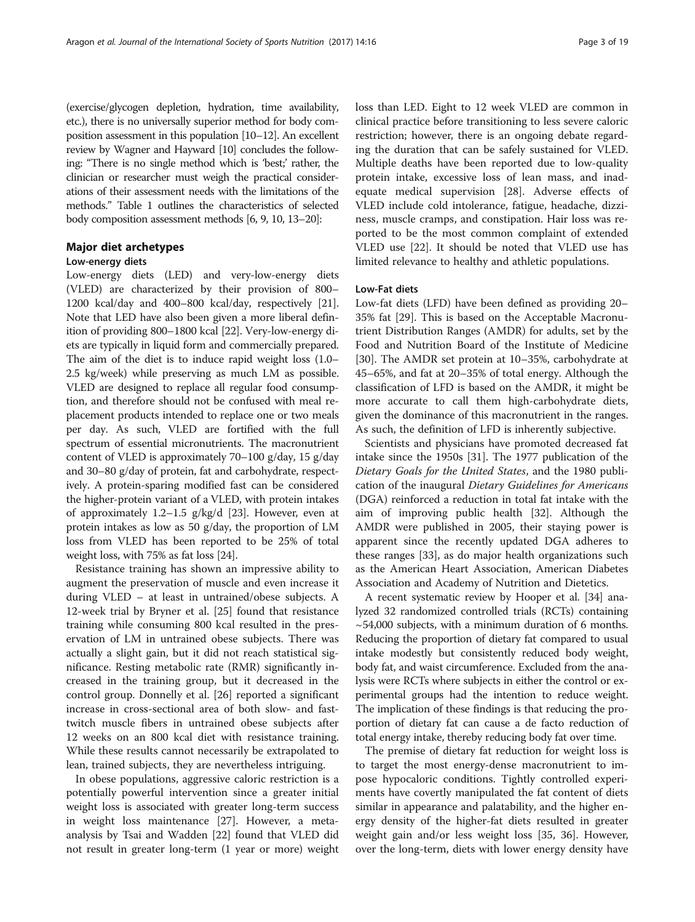(exercise/glycogen depletion, hydration, time availability, etc.), there is no universally superior method for body composition assessment in this population [\[10](#page-15-0)–[12](#page-15-0)]. An excellent review by Wagner and Hayward [\[10\]](#page-15-0) concludes the following: "There is no single method which is 'best;' rather, the clinician or researcher must weigh the practical considerations of their assessment needs with the limitations of the methods." Table [1](#page-3-0) outlines the characteristics of selected body composition assessment methods [\[6, 9](#page-15-0), [10, 13](#page-15-0)–[20\]](#page-15-0):

#### Major diet archetypes

# Low-energy diets

Low-energy diets (LED) and very-low-energy diets (VLED) are characterized by their provision of 800– 1200 kcal/day and 400–800 kcal/day, respectively [[21](#page-15-0)]. Note that LED have also been given a more liberal definition of providing 800–1800 kcal [[22](#page-15-0)]. Very-low-energy diets are typically in liquid form and commercially prepared. The aim of the diet is to induce rapid weight loss (1.0– 2.5 kg/week) while preserving as much LM as possible. VLED are designed to replace all regular food consumption, and therefore should not be confused with meal replacement products intended to replace one or two meals per day. As such, VLED are fortified with the full spectrum of essential micronutrients. The macronutrient content of VLED is approximately 70–100 g/day, 15 g/day and 30–80 g/day of protein, fat and carbohydrate, respectively. A protein-sparing modified fast can be considered the higher-protein variant of a VLED, with protein intakes of approximately 1.2–1.5 g/kg/d [[23](#page-15-0)]. However, even at protein intakes as low as 50 g/day, the proportion of LM loss from VLED has been reported to be 25% of total weight loss, with 75% as fat loss [\[24\]](#page-15-0).

Resistance training has shown an impressive ability to augment the preservation of muscle and even increase it during VLED – at least in untrained/obese subjects. A 12-week trial by Bryner et al. [\[25](#page-15-0)] found that resistance training while consuming 800 kcal resulted in the preservation of LM in untrained obese subjects. There was actually a slight gain, but it did not reach statistical significance. Resting metabolic rate (RMR) significantly increased in the training group, but it decreased in the control group. Donnelly et al. [\[26\]](#page-15-0) reported a significant increase in cross-sectional area of both slow- and fasttwitch muscle fibers in untrained obese subjects after 12 weeks on an 800 kcal diet with resistance training. While these results cannot necessarily be extrapolated to lean, trained subjects, they are nevertheless intriguing.

In obese populations, aggressive caloric restriction is a potentially powerful intervention since a greater initial weight loss is associated with greater long-term success in weight loss maintenance [\[27\]](#page-15-0). However, a metaanalysis by Tsai and Wadden [[22\]](#page-15-0) found that VLED did not result in greater long-term (1 year or more) weight loss than LED. Eight to 12 week VLED are common in clinical practice before transitioning to less severe caloric restriction; however, there is an ongoing debate regarding the duration that can be safely sustained for VLED. Multiple deaths have been reported due to low-quality protein intake, excessive loss of lean mass, and inadequate medical supervision [[28\]](#page-15-0). Adverse effects of VLED include cold intolerance, fatigue, headache, dizziness, muscle cramps, and constipation. Hair loss was reported to be the most common complaint of extended VLED use [[22\]](#page-15-0). It should be noted that VLED use has limited relevance to healthy and athletic populations.

#### Low-Fat diets

Low-fat diets (LFD) have been defined as providing 20– 35% fat [\[29\]](#page-15-0). This is based on the Acceptable Macronutrient Distribution Ranges (AMDR) for adults, set by the Food and Nutrition Board of the Institute of Medicine [[30\]](#page-15-0). The AMDR set protein at 10–35%, carbohydrate at 45–65%, and fat at 20–35% of total energy. Although the classification of LFD is based on the AMDR, it might be more accurate to call them high-carbohydrate diets, given the dominance of this macronutrient in the ranges. As such, the definition of LFD is inherently subjective.

Scientists and physicians have promoted decreased fat intake since the 1950s [[31](#page-15-0)]. The 1977 publication of the Dietary Goals for the United States, and the 1980 publication of the inaugural Dietary Guidelines for Americans (DGA) reinforced a reduction in total fat intake with the aim of improving public health [\[32\]](#page-15-0). Although the AMDR were published in 2005, their staying power is apparent since the recently updated DGA adheres to these ranges [\[33\]](#page-15-0), as do major health organizations such as the American Heart Association, American Diabetes Association and Academy of Nutrition and Dietetics.

A recent systematic review by Hooper et al. [\[34\]](#page-15-0) analyzed 32 randomized controlled trials (RCTs) containing  $\sim$  54,000 subjects, with a minimum duration of 6 months. Reducing the proportion of dietary fat compared to usual intake modestly but consistently reduced body weight, body fat, and waist circumference. Excluded from the analysis were RCTs where subjects in either the control or experimental groups had the intention to reduce weight. The implication of these findings is that reducing the proportion of dietary fat can cause a de facto reduction of total energy intake, thereby reducing body fat over time.

The premise of dietary fat reduction for weight loss is to target the most energy-dense macronutrient to impose hypocaloric conditions. Tightly controlled experiments have covertly manipulated the fat content of diets similar in appearance and palatability, and the higher energy density of the higher-fat diets resulted in greater weight gain and/or less weight loss [\[35, 36\]](#page-15-0). However, over the long-term, diets with lower energy density have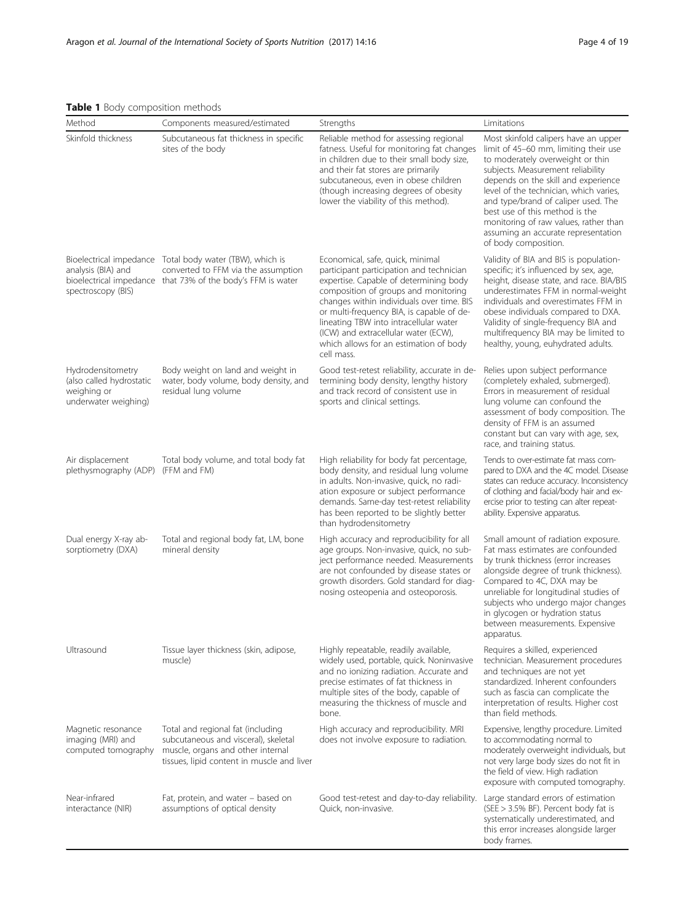<span id="page-3-0"></span>

| Table 1 Body composition methods |  |
|----------------------------------|--|
|----------------------------------|--|

| Method                                                                               | Components measured/estimated                                                                                                                                  | Strengths                                                                                                                                                                                                                                                                                                                                                                                          | Limitations                                                                                                                                                                                                                                                                                                                                                                                                              |
|--------------------------------------------------------------------------------------|----------------------------------------------------------------------------------------------------------------------------------------------------------------|----------------------------------------------------------------------------------------------------------------------------------------------------------------------------------------------------------------------------------------------------------------------------------------------------------------------------------------------------------------------------------------------------|--------------------------------------------------------------------------------------------------------------------------------------------------------------------------------------------------------------------------------------------------------------------------------------------------------------------------------------------------------------------------------------------------------------------------|
| Skinfold thickness                                                                   | Subcutaneous fat thickness in specific<br>sites of the body                                                                                                    | Reliable method for assessing regional<br>fatness. Useful for monitoring fat changes<br>in children due to their small body size,<br>and their fat stores are primarily<br>subcutaneous, even in obese children<br>(though increasing degrees of obesity<br>lower the viability of this method).                                                                                                   | Most skinfold calipers have an upper<br>limit of 45-60 mm, limiting their use<br>to moderately overweight or thin<br>subjects. Measurement reliability<br>depends on the skill and experience<br>level of the technician, which varies,<br>and type/brand of caliper used. The<br>best use of this method is the<br>monitoring of raw values, rather than<br>assuming an accurate representation<br>of body composition. |
| analysis (BIA) and<br>spectroscopy (BIS)                                             | Bioelectrical impedance Total body water (TBW), which is<br>converted to FFM via the assumption<br>bioelectrical impedance that 73% of the body's FFM is water | Economical, safe, quick, minimal<br>participant participation and technician<br>expertise. Capable of determining body<br>composition of groups and monitoring<br>changes within individuals over time. BIS<br>or multi-frequency BIA, is capable of de-<br>lineating TBW into intracellular water<br>(ICW) and extracellular water (ECW),<br>which allows for an estimation of body<br>cell mass. | Validity of BIA and BIS is population-<br>specific; it's influenced by sex, age,<br>height, disease state, and race. BIA/BIS<br>underestimates FFM in normal-weight<br>individuals and overestimates FFM in<br>obese individuals compared to DXA.<br>Validity of single-frequency BIA and<br>multifrequency BIA may be limited to<br>healthy, young, euhydrated adults.                                                  |
| Hydrodensitometry<br>(also called hydrostatic<br>weighing or<br>underwater weighing) | Body weight on land and weight in<br>water, body volume, body density, and<br>residual lung volume                                                             | Good test-retest reliability, accurate in de-<br>termining body density, lengthy history<br>and track record of consistent use in<br>sports and clinical settings.                                                                                                                                                                                                                                 | Relies upon subject performance<br>(completely exhaled, submerged).<br>Errors in measurement of residual<br>lung volume can confound the<br>assessment of body composition. The<br>density of FFM is an assumed<br>constant but can vary with age, sex,<br>race, and training status.                                                                                                                                    |
| Air displacement<br>plethysmography (ADP) (FFM and FM)                               | Total body volume, and total body fat                                                                                                                          | High reliability for body fat percentage,<br>body density, and residual lung volume<br>in adults. Non-invasive, quick, no radi-<br>ation exposure or subject performance<br>demands. Same-day test-retest reliability<br>has been reported to be slightly better<br>than hydrodensitometry                                                                                                         | Tends to over-estimate fat mass com-<br>pared to DXA and the 4C model. Disease<br>states can reduce accuracy. Inconsistency<br>of clothing and facial/body hair and ex-<br>ercise prior to testing can alter repeat-<br>ability. Expensive apparatus.                                                                                                                                                                    |
| Dual energy X-ray ab-<br>sorptiometry (DXA)                                          | Total and regional body fat, LM, bone<br>mineral density                                                                                                       | High accuracy and reproducibility for all<br>age groups. Non-invasive, quick, no sub-<br>ject performance needed. Measurements<br>are not confounded by disease states or<br>growth disorders. Gold standard for diag-<br>nosing osteopenia and osteoporosis.                                                                                                                                      | Small amount of radiation exposure.<br>Fat mass estimates are confounded<br>by trunk thickness (error increases<br>alongside degree of trunk thickness).<br>Compared to 4C, DXA may be<br>unreliable for longitudinal studies of<br>subjects who undergo major changes<br>in glycogen or hydration status<br>between measurements. Expensive<br>apparatus.                                                               |
| Ultrasound                                                                           | Tissue layer thickness (skin, adipose,<br>muscle)                                                                                                              | Highly repeatable, readily available,<br>widely used, portable, quick. Noninvasive<br>and no ionizing radiation. Accurate and<br>precise estimates of fat thickness in<br>multiple sites of the body, capable of<br>measuring the thickness of muscle and<br>bone.                                                                                                                                 | Requires a skilled, experienced<br>technician. Measurement procedures<br>and techniques are not yet<br>standardized. Inherent confounders<br>such as fascia can complicate the<br>interpretation of results. Higher cost<br>than field methods.                                                                                                                                                                          |
| Magnetic resonance<br>imaging (MRI) and<br>computed tomography                       | Total and regional fat (including<br>subcutaneous and visceral), skeletal<br>muscle, organs and other internal<br>tissues, lipid content in muscle and liver   | High accuracy and reproducibility. MRI<br>does not involve exposure to radiation.                                                                                                                                                                                                                                                                                                                  | Expensive, lengthy procedure. Limited<br>to accommodating normal to<br>moderately overweight individuals, but<br>not very large body sizes do not fit in<br>the field of view. High radiation<br>exposure with computed tomography.                                                                                                                                                                                      |
| Near-infrared<br>interactance (NIR)                                                  | Fat, protein, and water - based on<br>assumptions of optical density                                                                                           | Good test-retest and day-to-day reliability. Large standard errors of estimation<br>Quick, non-invasive.                                                                                                                                                                                                                                                                                           | (SEE > 3.5% BF). Percent body fat is<br>systematically underestimated, and<br>this error increases alongside larger<br>body frames.                                                                                                                                                                                                                                                                                      |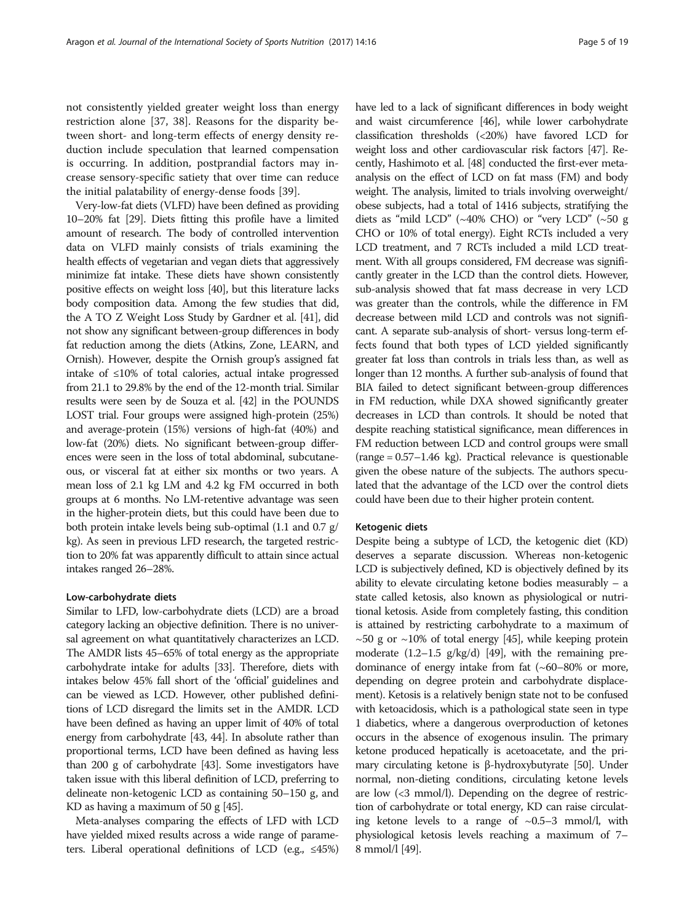not consistently yielded greater weight loss than energy restriction alone [\[37, 38](#page-15-0)]. Reasons for the disparity between short- and long-term effects of energy density reduction include speculation that learned compensation is occurring. In addition, postprandial factors may increase sensory-specific satiety that over time can reduce the initial palatability of energy-dense foods [[39\]](#page-15-0).

Very-low-fat diets (VLFD) have been defined as providing 10–20% fat [\[29](#page-15-0)]. Diets fitting this profile have a limited amount of research. The body of controlled intervention data on VLFD mainly consists of trials examining the health effects of vegetarian and vegan diets that aggressively minimize fat intake. These diets have shown consistently positive effects on weight loss [\[40\]](#page-15-0), but this literature lacks body composition data. Among the few studies that did, the A TO Z Weight Loss Study by Gardner et al. [\[41\]](#page-15-0), did not show any significant between-group differences in body fat reduction among the diets (Atkins, Zone, LEARN, and Ornish). However, despite the Ornish group's assigned fat intake of ≤10% of total calories, actual intake progressed from 21.1 to 29.8% by the end of the 12-month trial. Similar results were seen by de Souza et al. [\[42](#page-15-0)] in the POUNDS LOST trial. Four groups were assigned high-protein (25%) and average-protein (15%) versions of high-fat (40%) and low-fat (20%) diets. No significant between-group differences were seen in the loss of total abdominal, subcutaneous, or visceral fat at either six months or two years. A mean loss of 2.1 kg LM and 4.2 kg FM occurred in both groups at 6 months. No LM-retentive advantage was seen in the higher-protein diets, but this could have been due to both protein intake levels being sub-optimal (1.1 and 0.7 g/ kg). As seen in previous LFD research, the targeted restriction to 20% fat was apparently difficult to attain since actual intakes ranged 26–28%.

#### Low-carbohydrate diets

Similar to LFD, low-carbohydrate diets (LCD) are a broad category lacking an objective definition. There is no universal agreement on what quantitatively characterizes an LCD. The AMDR lists 45–65% of total energy as the appropriate carbohydrate intake for adults [[33](#page-15-0)]. Therefore, diets with intakes below 45% fall short of the 'official' guidelines and can be viewed as LCD. However, other published definitions of LCD disregard the limits set in the AMDR. LCD have been defined as having an upper limit of 40% of total energy from carbohydrate [\[43](#page-15-0), [44](#page-15-0)]. In absolute rather than proportional terms, LCD have been defined as having less than 200 g of carbohydrate [\[43\]](#page-15-0). Some investigators have taken issue with this liberal definition of LCD, preferring to delineate non-ketogenic LCD as containing 50–150 g, and KD as having a maximum of 50 g [\[45](#page-15-0)].

Meta-analyses comparing the effects of LFD with LCD have yielded mixed results across a wide range of parameters. Liberal operational definitions of LCD (e.g., ≤45%) have led to a lack of significant differences in body weight and waist circumference [\[46\]](#page-15-0), while lower carbohydrate classification thresholds (<20%) have favored LCD for weight loss and other cardiovascular risk factors [[47](#page-15-0)]. Recently, Hashimoto et al. [[48](#page-15-0)] conducted the first-ever metaanalysis on the effect of LCD on fat mass (FM) and body weight. The analysis, limited to trials involving overweight/ obese subjects, had a total of 1416 subjects, stratifying the diets as "mild LCD" (~40% CHO) or "very LCD" (~50 g CHO or 10% of total energy). Eight RCTs included a very LCD treatment, and 7 RCTs included a mild LCD treatment. With all groups considered, FM decrease was significantly greater in the LCD than the control diets. However, sub-analysis showed that fat mass decrease in very LCD was greater than the controls, while the difference in FM decrease between mild LCD and controls was not significant. A separate sub-analysis of short- versus long-term effects found that both types of LCD yielded significantly greater fat loss than controls in trials less than, as well as longer than 12 months. A further sub-analysis of found that BIA failed to detect significant between-group differences in FM reduction, while DXA showed significantly greater decreases in LCD than controls. It should be noted that despite reaching statistical significance, mean differences in FM reduction between LCD and control groups were small (range = 0.57–1.46 kg). Practical relevance is questionable given the obese nature of the subjects. The authors speculated that the advantage of the LCD over the control diets could have been due to their higher protein content.

#### Ketogenic diets

Despite being a subtype of LCD, the ketogenic diet (KD) deserves a separate discussion. Whereas non-ketogenic LCD is subjectively defined, KD is objectively defined by its ability to elevate circulating ketone bodies measurably – a state called ketosis, also known as physiological or nutritional ketosis. Aside from completely fasting, this condition is attained by restricting carbohydrate to a maximum of  $\sim$  50 g or  $\sim$ 10% of total energy [\[45\]](#page-15-0), while keeping protein moderate (1.2–1.5 g/kg/d) [\[49\]](#page-16-0), with the remaining predominance of energy intake from fat  $({\sim}60{-}80\%$  or more, depending on degree protein and carbohydrate displacement). Ketosis is a relatively benign state not to be confused with ketoacidosis, which is a pathological state seen in type 1 diabetics, where a dangerous overproduction of ketones occurs in the absence of exogenous insulin. The primary ketone produced hepatically is acetoacetate, and the primary circulating ketone is β-hydroxybutyrate [[50](#page-16-0)]. Under normal, non-dieting conditions, circulating ketone levels are low (<3 mmol/l). Depending on the degree of restriction of carbohydrate or total energy, KD can raise circulating ketone levels to a range of  $\sim 0.5-3$  mmol/l, with physiological ketosis levels reaching a maximum of 7– 8 mmol/l [[49](#page-16-0)].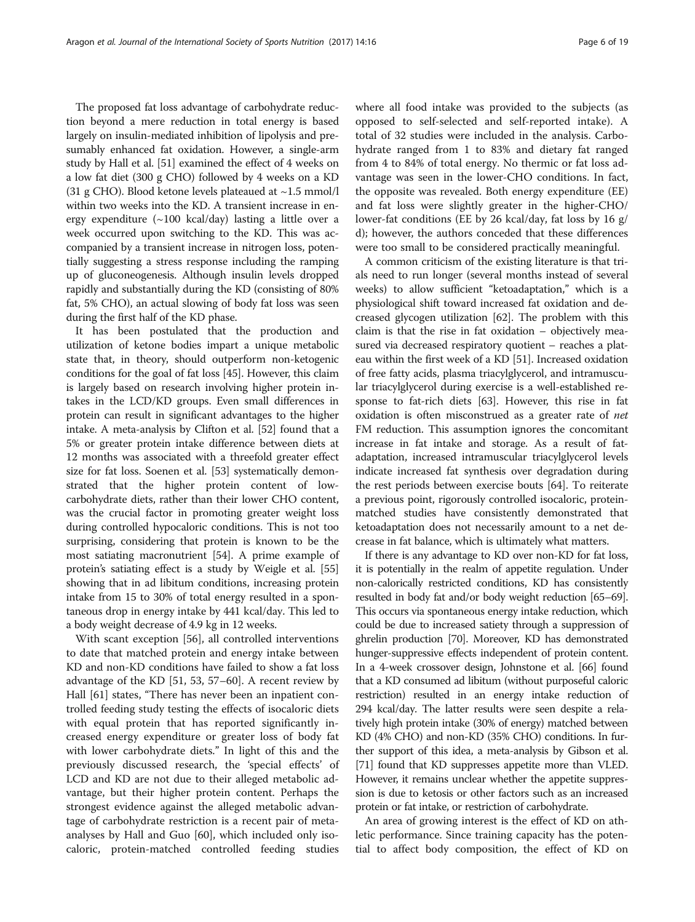The proposed fat loss advantage of carbohydrate reduction beyond a mere reduction in total energy is based largely on insulin-mediated inhibition of lipolysis and presumably enhanced fat oxidation. However, a single-arm study by Hall et al. [[51](#page-16-0)] examined the effect of 4 weeks on a low fat diet (300 g CHO) followed by 4 weeks on a KD (31 g CHO). Blood ketone levels plateaued at  $\sim$ 1.5 mmol/l within two weeks into the KD. A transient increase in energy expenditure (~100 kcal/day) lasting a little over a week occurred upon switching to the KD. This was accompanied by a transient increase in nitrogen loss, potentially suggesting a stress response including the ramping up of gluconeogenesis. Although insulin levels dropped rapidly and substantially during the KD (consisting of 80% fat, 5% CHO), an actual slowing of body fat loss was seen during the first half of the KD phase.

It has been postulated that the production and utilization of ketone bodies impart a unique metabolic state that, in theory, should outperform non-ketogenic conditions for the goal of fat loss [\[45\]](#page-15-0). However, this claim is largely based on research involving higher protein intakes in the LCD/KD groups. Even small differences in protein can result in significant advantages to the higher intake. A meta-analysis by Clifton et al. [\[52\]](#page-16-0) found that a 5% or greater protein intake difference between diets at 12 months was associated with a threefold greater effect size for fat loss. Soenen et al. [\[53\]](#page-16-0) systematically demonstrated that the higher protein content of lowcarbohydrate diets, rather than their lower CHO content, was the crucial factor in promoting greater weight loss during controlled hypocaloric conditions. This is not too surprising, considering that protein is known to be the most satiating macronutrient [\[54\]](#page-16-0). A prime example of protein's satiating effect is a study by Weigle et al. [[55](#page-16-0)] showing that in ad libitum conditions, increasing protein intake from 15 to 30% of total energy resulted in a spontaneous drop in energy intake by 441 kcal/day. This led to a body weight decrease of 4.9 kg in 12 weeks.

With scant exception [[56\]](#page-16-0), all controlled interventions to date that matched protein and energy intake between KD and non-KD conditions have failed to show a fat loss advantage of the KD [[51, 53, 57](#page-16-0)–[60\]](#page-16-0). A recent review by Hall [\[61\]](#page-16-0) states, "There has never been an inpatient controlled feeding study testing the effects of isocaloric diets with equal protein that has reported significantly increased energy expenditure or greater loss of body fat with lower carbohydrate diets." In light of this and the previously discussed research, the 'special effects' of LCD and KD are not due to their alleged metabolic advantage, but their higher protein content. Perhaps the strongest evidence against the alleged metabolic advantage of carbohydrate restriction is a recent pair of metaanalyses by Hall and Guo [[60](#page-16-0)], which included only isocaloric, protein-matched controlled feeding studies where all food intake was provided to the subjects (as opposed to self-selected and self-reported intake). A total of 32 studies were included in the analysis. Carbohydrate ranged from 1 to 83% and dietary fat ranged from 4 to 84% of total energy. No thermic or fat loss advantage was seen in the lower-CHO conditions. In fact, the opposite was revealed. Both energy expenditure (EE) and fat loss were slightly greater in the higher-CHO/ lower-fat conditions (EE by 26 kcal/day, fat loss by 16 g/ d); however, the authors conceded that these differences were too small to be considered practically meaningful.

A common criticism of the existing literature is that trials need to run longer (several months instead of several weeks) to allow sufficient "ketoadaptation," which is a physiological shift toward increased fat oxidation and decreased glycogen utilization [\[62](#page-16-0)]. The problem with this claim is that the rise in fat oxidation – objectively measured via decreased respiratory quotient – reaches a plateau within the first week of a KD [[51](#page-16-0)]. Increased oxidation of free fatty acids, plasma triacylglycerol, and intramuscular triacylglycerol during exercise is a well-established response to fat-rich diets [[63](#page-16-0)]. However, this rise in fat oxidation is often misconstrued as a greater rate of net FM reduction. This assumption ignores the concomitant increase in fat intake and storage. As a result of fatadaptation, increased intramuscular triacylglycerol levels indicate increased fat synthesis over degradation during the rest periods between exercise bouts [\[64\]](#page-16-0). To reiterate a previous point, rigorously controlled isocaloric, proteinmatched studies have consistently demonstrated that ketoadaptation does not necessarily amount to a net decrease in fat balance, which is ultimately what matters.

If there is any advantage to KD over non-KD for fat loss, it is potentially in the realm of appetite regulation. Under non-calorically restricted conditions, KD has consistently resulted in body fat and/or body weight reduction [[65](#page-16-0)–[69](#page-16-0)]. This occurs via spontaneous energy intake reduction, which could be due to increased satiety through a suppression of ghrelin production [\[70](#page-16-0)]. Moreover, KD has demonstrated hunger-suppressive effects independent of protein content. In a 4-week crossover design, Johnstone et al. [\[66](#page-16-0)] found that a KD consumed ad libitum (without purposeful caloric restriction) resulted in an energy intake reduction of 294 kcal/day. The latter results were seen despite a relatively high protein intake (30% of energy) matched between KD (4% CHO) and non-KD (35% CHO) conditions. In further support of this idea, a meta-analysis by Gibson et al. [[71](#page-16-0)] found that KD suppresses appetite more than VLED. However, it remains unclear whether the appetite suppression is due to ketosis or other factors such as an increased protein or fat intake, or restriction of carbohydrate.

An area of growing interest is the effect of KD on athletic performance. Since training capacity has the potential to affect body composition, the effect of KD on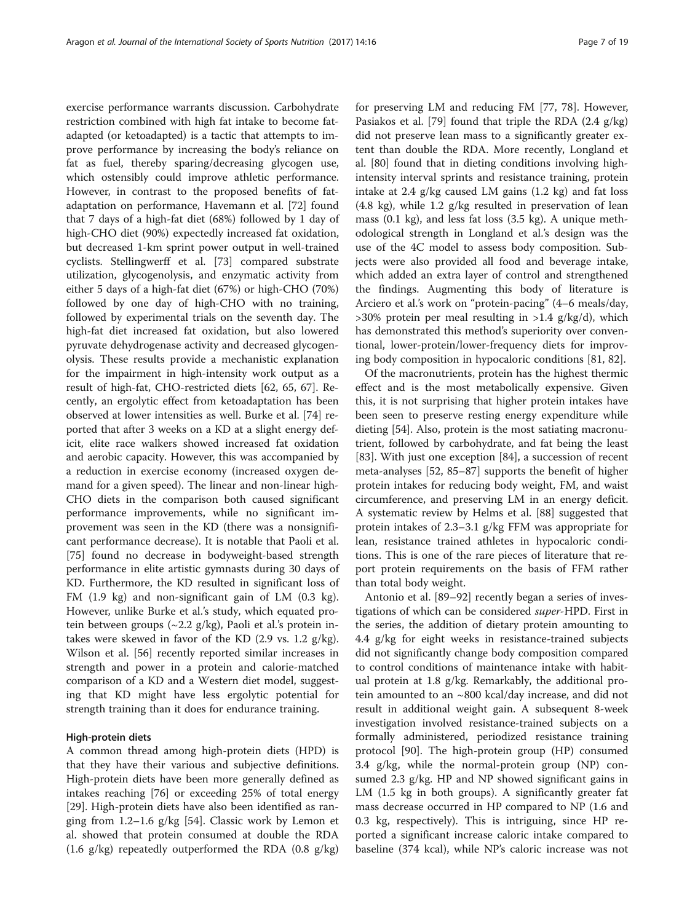exercise performance warrants discussion. Carbohydrate restriction combined with high fat intake to become fatadapted (or ketoadapted) is a tactic that attempts to improve performance by increasing the body's reliance on fat as fuel, thereby sparing/decreasing glycogen use, which ostensibly could improve athletic performance. However, in contrast to the proposed benefits of fatadaptation on performance, Havemann et al. [[72\]](#page-16-0) found that 7 days of a high-fat diet (68%) followed by 1 day of high-CHO diet (90%) expectedly increased fat oxidation, but decreased 1-km sprint power output in well-trained cyclists. Stellingwerff et al. [\[73](#page-16-0)] compared substrate utilization, glycogenolysis, and enzymatic activity from either 5 days of a high-fat diet (67%) or high-CHO (70%) followed by one day of high-CHO with no training, followed by experimental trials on the seventh day. The high-fat diet increased fat oxidation, but also lowered pyruvate dehydrogenase activity and decreased glycogenolysis. These results provide a mechanistic explanation for the impairment in high-intensity work output as a result of high-fat, CHO-restricted diets [\[62](#page-16-0), [65, 67\]](#page-16-0). Recently, an ergolytic effect from ketoadaptation has been observed at lower intensities as well. Burke et al. [[74\]](#page-16-0) reported that after 3 weeks on a KD at a slight energy deficit, elite race walkers showed increased fat oxidation and aerobic capacity. However, this was accompanied by a reduction in exercise economy (increased oxygen demand for a given speed). The linear and non-linear high-CHO diets in the comparison both caused significant performance improvements, while no significant improvement was seen in the KD (there was a nonsignificant performance decrease). It is notable that Paoli et al. [[75\]](#page-16-0) found no decrease in bodyweight-based strength performance in elite artistic gymnasts during 30 days of KD. Furthermore, the KD resulted in significant loss of FM (1.9 kg) and non-significant gain of LM (0.3 kg). However, unlike Burke et al.'s study, which equated protein between groups  $(\sim 2.2 \text{ g/kg})$ , Paoli et al.'s protein intakes were skewed in favor of the KD (2.9 vs. 1.2 g/kg). Wilson et al. [[56\]](#page-16-0) recently reported similar increases in strength and power in a protein and calorie-matched comparison of a KD and a Western diet model, suggesting that KD might have less ergolytic potential for strength training than it does for endurance training.

# High-protein diets

A common thread among high-protein diets (HPD) is that they have their various and subjective definitions. High-protein diets have been more generally defined as intakes reaching [\[76\]](#page-16-0) or exceeding 25% of total energy [[29\]](#page-15-0). High-protein diets have also been identified as ranging from 1.2–1.6 g/kg [[54\]](#page-16-0). Classic work by Lemon et al. showed that protein consumed at double the RDA (1.6 g/kg) repeatedly outperformed the RDA (0.8 g/kg) for preserving LM and reducing FM [[77](#page-16-0), [78](#page-16-0)]. However, Pasiakos et al. [[79\]](#page-16-0) found that triple the RDA (2.4 g/kg) did not preserve lean mass to a significantly greater extent than double the RDA. More recently, Longland et al. [[80\]](#page-16-0) found that in dieting conditions involving highintensity interval sprints and resistance training, protein intake at 2.4 g/kg caused LM gains (1.2 kg) and fat loss (4.8 kg), while 1.2 g/kg resulted in preservation of lean mass (0.1 kg), and less fat loss (3.5 kg). A unique methodological strength in Longland et al.'s design was the use of the 4C model to assess body composition. Subjects were also provided all food and beverage intake, which added an extra layer of control and strengthened the findings. Augmenting this body of literature is Arciero et al.'s work on "protein-pacing" (4–6 meals/day, >30% protein per meal resulting in >1.4 g/kg/d), which has demonstrated this method's superiority over conventional, lower-protein/lower-frequency diets for improving body composition in hypocaloric conditions [[81](#page-16-0), [82](#page-16-0)].

Of the macronutrients, protein has the highest thermic effect and is the most metabolically expensive. Given this, it is not surprising that higher protein intakes have been seen to preserve resting energy expenditure while dieting [[54\]](#page-16-0). Also, protein is the most satiating macronutrient, followed by carbohydrate, and fat being the least [[83\]](#page-16-0). With just one exception [[84\]](#page-16-0), a succession of recent meta-analyses [[52, 85](#page-16-0)–[87\]](#page-16-0) supports the benefit of higher protein intakes for reducing body weight, FM, and waist circumference, and preserving LM in an energy deficit. A systematic review by Helms et al. [[88](#page-16-0)] suggested that protein intakes of 2.3–3.1 g/kg FFM was appropriate for lean, resistance trained athletes in hypocaloric conditions. This is one of the rare pieces of literature that report protein requirements on the basis of FFM rather than total body weight.

Antonio et al. [\[89](#page-16-0)–[92](#page-16-0)] recently began a series of investigations of which can be considered super-HPD. First in the series, the addition of dietary protein amounting to 4.4 g/kg for eight weeks in resistance-trained subjects did not significantly change body composition compared to control conditions of maintenance intake with habitual protein at 1.8 g/kg. Remarkably, the additional protein amounted to an ~800 kcal/day increase, and did not result in additional weight gain. A subsequent 8-week investigation involved resistance-trained subjects on a formally administered, periodized resistance training protocol [\[90\]](#page-16-0). The high-protein group (HP) consumed 3.4 g/kg, while the normal-protein group (NP) consumed 2.3 g/kg. HP and NP showed significant gains in LM (1.5 kg in both groups). A significantly greater fat mass decrease occurred in HP compared to NP (1.6 and 0.3 kg, respectively). This is intriguing, since HP reported a significant increase caloric intake compared to baseline (374 kcal), while NP's caloric increase was not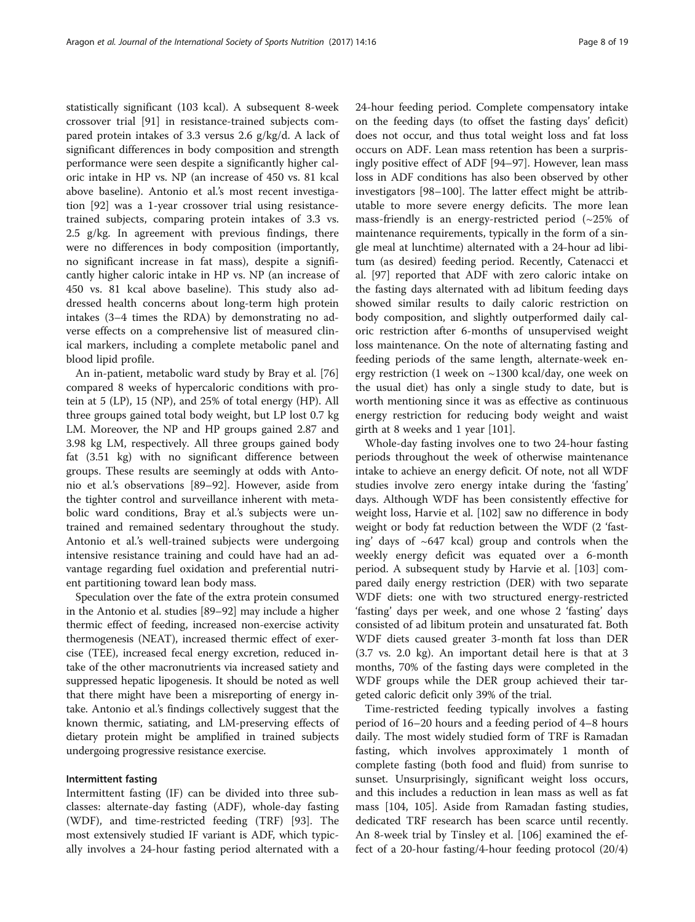statistically significant (103 kcal). A subsequent 8-week crossover trial [\[91\]](#page-16-0) in resistance-trained subjects compared protein intakes of 3.3 versus 2.6 g/kg/d. A lack of significant differences in body composition and strength performance were seen despite a significantly higher caloric intake in HP vs. NP (an increase of 450 vs. 81 kcal above baseline). Antonio et al.'s most recent investigation [[92](#page-16-0)] was a 1-year crossover trial using resistancetrained subjects, comparing protein intakes of 3.3 vs. 2.5 g/kg. In agreement with previous findings, there were no differences in body composition (importantly, no significant increase in fat mass), despite a significantly higher caloric intake in HP vs. NP (an increase of 450 vs. 81 kcal above baseline). This study also addressed health concerns about long-term high protein intakes (3–4 times the RDA) by demonstrating no adverse effects on a comprehensive list of measured clinical markers, including a complete metabolic panel and blood lipid profile.

An in-patient, metabolic ward study by Bray et al. [[76](#page-16-0)] compared 8 weeks of hypercaloric conditions with protein at 5 (LP), 15 (NP), and 25% of total energy (HP). All three groups gained total body weight, but LP lost 0.7 kg LM. Moreover, the NP and HP groups gained 2.87 and 3.98 kg LM, respectively. All three groups gained body fat (3.51 kg) with no significant difference between groups. These results are seemingly at odds with Antonio et al.'s observations [\[89](#page-16-0)–[92\]](#page-16-0). However, aside from the tighter control and surveillance inherent with metabolic ward conditions, Bray et al.'s subjects were untrained and remained sedentary throughout the study. Antonio et al.'s well-trained subjects were undergoing intensive resistance training and could have had an advantage regarding fuel oxidation and preferential nutrient partitioning toward lean body mass.

Speculation over the fate of the extra protein consumed in the Antonio et al. studies [[89](#page-16-0)–[92\]](#page-16-0) may include a higher thermic effect of feeding, increased non-exercise activity thermogenesis (NEAT), increased thermic effect of exercise (TEE), increased fecal energy excretion, reduced intake of the other macronutrients via increased satiety and suppressed hepatic lipogenesis. It should be noted as well that there might have been a misreporting of energy intake. Antonio et al.'s findings collectively suggest that the known thermic, satiating, and LM-preserving effects of dietary protein might be amplified in trained subjects undergoing progressive resistance exercise.

# Intermittent fasting

Intermittent fasting (IF) can be divided into three subclasses: alternate-day fasting (ADF), whole-day fasting (WDF), and time-restricted feeding (TRF) [[93](#page-16-0)]. The most extensively studied IF variant is ADF, which typically involves a 24-hour fasting period alternated with a

24-hour feeding period. Complete compensatory intake on the feeding days (to offset the fasting days' deficit) does not occur, and thus total weight loss and fat loss occurs on ADF. Lean mass retention has been a surprisingly positive effect of ADF [\[94](#page-17-0)–[97](#page-17-0)]. However, lean mass loss in ADF conditions has also been observed by other investigators [[98](#page-17-0)–[100](#page-17-0)]. The latter effect might be attributable to more severe energy deficits. The more lean mass-friendly is an energy-restricted period (~25% of maintenance requirements, typically in the form of a single meal at lunchtime) alternated with a 24-hour ad libitum (as desired) feeding period. Recently, Catenacci et al. [[97](#page-17-0)] reported that ADF with zero caloric intake on the fasting days alternated with ad libitum feeding days showed similar results to daily caloric restriction on body composition, and slightly outperformed daily caloric restriction after 6-months of unsupervised weight loss maintenance. On the note of alternating fasting and feeding periods of the same length, alternate-week energy restriction (1 week on ~1300 kcal/day, one week on the usual diet) has only a single study to date, but is worth mentioning since it was as effective as continuous energy restriction for reducing body weight and waist girth at 8 weeks and 1 year [[101](#page-17-0)].

Whole-day fasting involves one to two 24-hour fasting periods throughout the week of otherwise maintenance intake to achieve an energy deficit. Of note, not all WDF studies involve zero energy intake during the 'fasting' days. Although WDF has been consistently effective for weight loss, Harvie et al. [[102\]](#page-17-0) saw no difference in body weight or body fat reduction between the WDF (2 'fasting' days of  $\sim 647$  kcal) group and controls when the weekly energy deficit was equated over a 6-month period. A subsequent study by Harvie et al. [[103](#page-17-0)] compared daily energy restriction (DER) with two separate WDF diets: one with two structured energy-restricted 'fasting' days per week, and one whose 2 'fasting' days consisted of ad libitum protein and unsaturated fat. Both WDF diets caused greater 3-month fat loss than DER (3.7 vs. 2.0 kg). An important detail here is that at 3 months, 70% of the fasting days were completed in the WDF groups while the DER group achieved their targeted caloric deficit only 39% of the trial.

Time-restricted feeding typically involves a fasting period of 16–20 hours and a feeding period of 4–8 hours daily. The most widely studied form of TRF is Ramadan fasting, which involves approximately 1 month of complete fasting (both food and fluid) from sunrise to sunset. Unsurprisingly, significant weight loss occurs, and this includes a reduction in lean mass as well as fat mass [\[104, 105\]](#page-17-0). Aside from Ramadan fasting studies, dedicated TRF research has been scarce until recently. An 8-week trial by Tinsley et al. [[106](#page-17-0)] examined the effect of a 20-hour fasting/4-hour feeding protocol (20/4)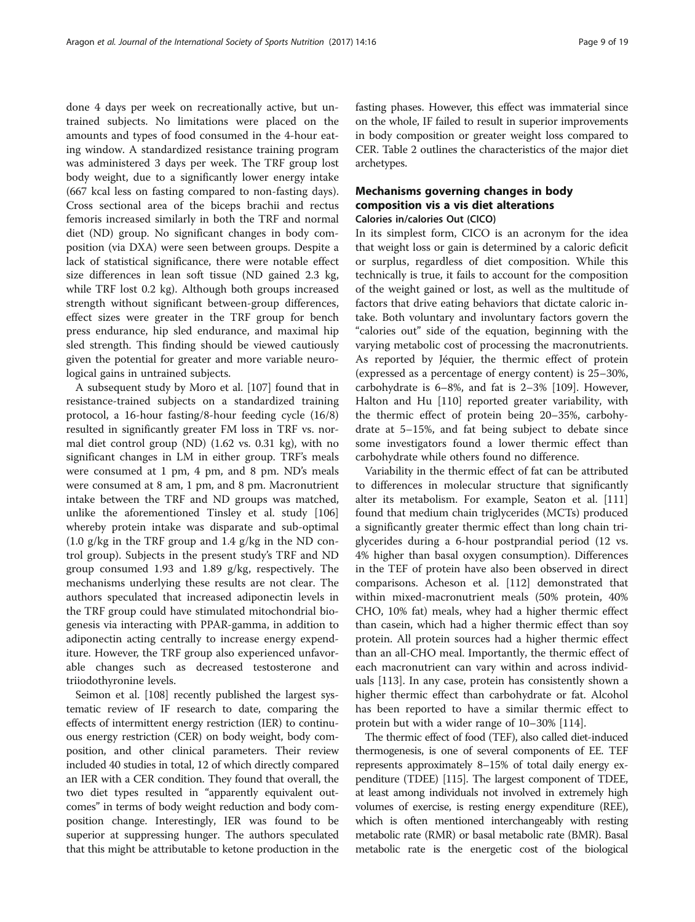done 4 days per week on recreationally active, but untrained subjects. No limitations were placed on the amounts and types of food consumed in the 4-hour eating window. A standardized resistance training program was administered 3 days per week. The TRF group lost body weight, due to a significantly lower energy intake (667 kcal less on fasting compared to non-fasting days). Cross sectional area of the biceps brachii and rectus femoris increased similarly in both the TRF and normal diet (ND) group. No significant changes in body composition (via DXA) were seen between groups. Despite a lack of statistical significance, there were notable effect size differences in lean soft tissue (ND gained 2.3 kg, while TRF lost 0.2 kg). Although both groups increased strength without significant between-group differences, effect sizes were greater in the TRF group for bench press endurance, hip sled endurance, and maximal hip sled strength. This finding should be viewed cautiously given the potential for greater and more variable neurological gains in untrained subjects.

A subsequent study by Moro et al. [[107\]](#page-17-0) found that in resistance-trained subjects on a standardized training protocol, a 16-hour fasting/8-hour feeding cycle (16/8) resulted in significantly greater FM loss in TRF vs. normal diet control group (ND) (1.62 vs. 0.31 kg), with no significant changes in LM in either group. TRF's meals were consumed at 1 pm, 4 pm, and 8 pm. ND's meals were consumed at 8 am, 1 pm, and 8 pm. Macronutrient intake between the TRF and ND groups was matched, unlike the aforementioned Tinsley et al. study [[106](#page-17-0)] whereby protein intake was disparate and sub-optimal  $(1.0 \text{ g/kg}$  in the TRF group and 1.4 g/kg in the ND control group). Subjects in the present study's TRF and ND group consumed 1.93 and 1.89 g/kg, respectively. The mechanisms underlying these results are not clear. The authors speculated that increased adiponectin levels in the TRF group could have stimulated mitochondrial biogenesis via interacting with PPAR-gamma, in addition to adiponectin acting centrally to increase energy expenditure. However, the TRF group also experienced unfavorable changes such as decreased testosterone and triiodothyronine levels.

Seimon et al. [\[108](#page-17-0)] recently published the largest systematic review of IF research to date, comparing the effects of intermittent energy restriction (IER) to continuous energy restriction (CER) on body weight, body composition, and other clinical parameters. Their review included 40 studies in total, 12 of which directly compared an IER with a CER condition. They found that overall, the two diet types resulted in "apparently equivalent outcomes" in terms of body weight reduction and body composition change. Interestingly, IER was found to be superior at suppressing hunger. The authors speculated that this might be attributable to ketone production in the fasting phases. However, this effect was immaterial since on the whole, IF failed to result in superior improvements in body composition or greater weight loss compared to CER. Table [2](#page-9-0) outlines the characteristics of the major diet archetypes.

# Mechanisms governing changes in body composition vis a vis diet alterations Calories in/calories Out (CICO)

In its simplest form, CICO is an acronym for the idea that weight loss or gain is determined by a caloric deficit or surplus, regardless of diet composition. While this technically is true, it fails to account for the composition of the weight gained or lost, as well as the multitude of factors that drive eating behaviors that dictate caloric intake. Both voluntary and involuntary factors govern the "calories out" side of the equation, beginning with the varying metabolic cost of processing the macronutrients. As reported by Jéquier, the thermic effect of protein (expressed as a percentage of energy content) is 25–30%, carbohydrate is 6–8%, and fat is 2–3% [\[109\]](#page-17-0). However, Halton and Hu [\[110\]](#page-17-0) reported greater variability, with the thermic effect of protein being 20–35%, carbohydrate at 5–15%, and fat being subject to debate since some investigators found a lower thermic effect than carbohydrate while others found no difference.

Variability in the thermic effect of fat can be attributed to differences in molecular structure that significantly alter its metabolism. For example, Seaton et al. [[111](#page-17-0)] found that medium chain triglycerides (MCTs) produced a significantly greater thermic effect than long chain triglycerides during a 6-hour postprandial period (12 vs. 4% higher than basal oxygen consumption). Differences in the TEF of protein have also been observed in direct comparisons. Acheson et al. [[112\]](#page-17-0) demonstrated that within mixed-macronutrient meals (50% protein, 40% CHO, 10% fat) meals, whey had a higher thermic effect than casein, which had a higher thermic effect than soy protein. All protein sources had a higher thermic effect than an all-CHO meal. Importantly, the thermic effect of each macronutrient can vary within and across individuals [\[113](#page-17-0)]. In any case, protein has consistently shown a higher thermic effect than carbohydrate or fat. Alcohol has been reported to have a similar thermic effect to protein but with a wider range of 10–30% [[114](#page-17-0)].

The thermic effect of food (TEF), also called diet-induced thermogenesis, is one of several components of EE. TEF represents approximately 8–15% of total daily energy expenditure (TDEE) [\[115\]](#page-17-0). The largest component of TDEE, at least among individuals not involved in extremely high volumes of exercise, is resting energy expenditure (REE), which is often mentioned interchangeably with resting metabolic rate (RMR) or basal metabolic rate (BMR). Basal metabolic rate is the energetic cost of the biological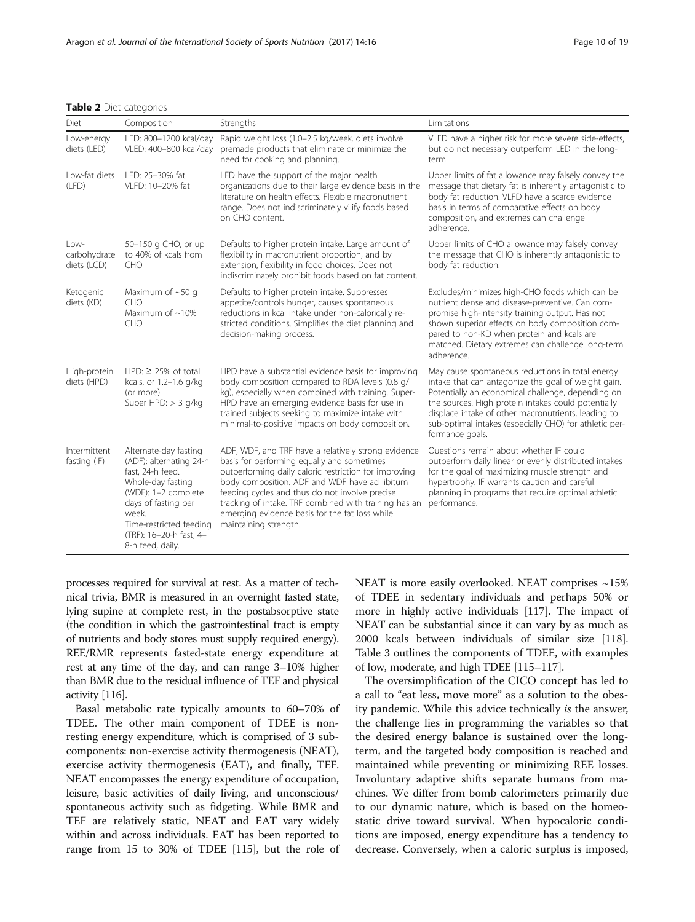<span id="page-9-0"></span>Table 2 Diet categories

| Diet                                | Composition                                                                                                                                                                                                                | Strengths                                                                                                                                                                                                                                                                                                                                                                                         | Limitations                                                                                                                                                                                                                                                                                                                                             |
|-------------------------------------|----------------------------------------------------------------------------------------------------------------------------------------------------------------------------------------------------------------------------|---------------------------------------------------------------------------------------------------------------------------------------------------------------------------------------------------------------------------------------------------------------------------------------------------------------------------------------------------------------------------------------------------|---------------------------------------------------------------------------------------------------------------------------------------------------------------------------------------------------------------------------------------------------------------------------------------------------------------------------------------------------------|
| Low-energy<br>diets (LED)           | LED: 800-1200 kcal/day<br>VLED: 400-800 kcal/day                                                                                                                                                                           | Rapid weight loss (1.0-2.5 kg/week, diets involve<br>premade products that eliminate or minimize the<br>need for cooking and planning.                                                                                                                                                                                                                                                            | VLED have a higher risk for more severe side-effects,<br>but do not necessary outperform LED in the long-<br>term                                                                                                                                                                                                                                       |
| Low-fat diets<br>(LFD)              | I FD: 25-30% fat<br>VLFD: 10-20% fat                                                                                                                                                                                       | LFD have the support of the major health<br>organizations due to their large evidence basis in the<br>literature on health effects. Flexible macronutrient<br>range. Does not indiscriminately vilify foods based<br>on CHO content.                                                                                                                                                              | Upper limits of fat allowance may falsely convey the<br>message that dietary fat is inherently antagonistic to<br>body fat reduction. VLFD have a scarce evidence<br>basis in terms of comparative effects on body<br>composition, and extremes can challenge<br>adherence.                                                                             |
| Low-<br>carbohydrate<br>diets (LCD) | 50-150 g CHO, or up<br>to 40% of kcals from<br><b>CHO</b>                                                                                                                                                                  | Defaults to higher protein intake. Large amount of<br>flexibility in macronutrient proportion, and by<br>extension, flexibility in food choices. Does not<br>indiscriminately prohibit foods based on fat content.                                                                                                                                                                                | Upper limits of CHO allowance may falsely convey<br>the message that CHO is inherently antagonistic to<br>body fat reduction.                                                                                                                                                                                                                           |
| Ketogenic<br>diets (KD)             | Maximum of $\sim$ 50 g<br><b>CHO</b><br>Maximum of $\sim$ 10%<br>CHO                                                                                                                                                       | Defaults to higher protein intake. Suppresses<br>appetite/controls hunger, causes spontaneous<br>reductions in kcal intake under non-calorically re-<br>stricted conditions. Simplifies the diet planning and<br>decision-making process.                                                                                                                                                         | Excludes/minimizes high-CHO foods which can be<br>nutrient dense and disease-preventive. Can com-<br>promise high-intensity training output. Has not<br>shown superior effects on body composition com-<br>pared to non-KD when protein and kcals are<br>matched. Dietary extremes can challenge long-term<br>adherence.                                |
| High-protein<br>diets (HPD)         | HPD: $\geq$ 25% of total<br>kcals, or 1.2-1.6 g/kg<br>(or more)<br>Super HPD: > 3 g/kg                                                                                                                                     | HPD have a substantial evidence basis for improving<br>body composition compared to RDA levels (0.8 g/<br>kg), especially when combined with training. Super-<br>HPD have an emerging evidence basis for use in<br>trained subjects seeking to maximize intake with<br>minimal-to-positive impacts on body composition.                                                                           | May cause spontaneous reductions in total energy<br>intake that can antagonize the goal of weight gain.<br>Potentially an economical challenge, depending on<br>the sources. High protein intakes could potentially<br>displace intake of other macronutrients, leading to<br>sub-optimal intakes (especially CHO) for athletic per-<br>formance goals. |
| Intermittent<br>fasting (IF)        | Alternate-day fasting<br>(ADF): alternating 24-h<br>fast, 24-h feed.<br>Whole-day fasting<br>(WDF): 1-2 complete<br>days of fasting per<br>week.<br>Time-restricted feeding<br>(TRF): 16-20-h fast, 4-<br>8-h feed, daily. | ADF, WDF, and TRF have a relatively strong evidence<br>basis for performing equally and sometimes<br>outperforming daily caloric restriction for improving<br>body composition. ADF and WDF have ad libitum<br>feeding cycles and thus do not involve precise<br>tracking of intake. TRF combined with training has an<br>emerging evidence basis for the fat loss while<br>maintaining strength. | Questions remain about whether IF could<br>outperform daily linear or evenly distributed intakes<br>for the goal of maximizing muscle strength and<br>hypertrophy. IF warrants caution and careful<br>planning in programs that require optimal athletic<br>performance.                                                                                |

processes required for survival at rest. As a matter of technical trivia, BMR is measured in an overnight fasted state, lying supine at complete rest, in the postabsorptive state (the condition in which the gastrointestinal tract is empty of nutrients and body stores must supply required energy). REE/RMR represents fasted-state energy expenditure at rest at any time of the day, and can range 3–10% higher than BMR due to the residual influence of TEF and physical activity [\[116](#page-17-0)].

Basal metabolic rate typically amounts to 60–70% of TDEE. The other main component of TDEE is nonresting energy expenditure, which is comprised of 3 subcomponents: non-exercise activity thermogenesis (NEAT), exercise activity thermogenesis (EAT), and finally, TEF. NEAT encompasses the energy expenditure of occupation, leisure, basic activities of daily living, and unconscious/ spontaneous activity such as fidgeting. While BMR and TEF are relatively static, NEAT and EAT vary widely within and across individuals. EAT has been reported to range from 15 to 30% of TDEE [\[115\]](#page-17-0), but the role of

NEAT is more easily overlooked. NEAT comprises ~15% of TDEE in sedentary individuals and perhaps 50% or more in highly active individuals [\[117](#page-17-0)]. The impact of NEAT can be substantial since it can vary by as much as 2000 kcals between individuals of similar size [[118](#page-17-0)]. Table [3](#page-10-0) outlines the components of TDEE, with examples of low, moderate, and high TDEE [[115](#page-17-0)–[117](#page-17-0)].

The oversimplification of the CICO concept has led to a call to "eat less, move more" as a solution to the obesity pandemic. While this advice technically is the answer, the challenge lies in programming the variables so that the desired energy balance is sustained over the longterm, and the targeted body composition is reached and maintained while preventing or minimizing REE losses. Involuntary adaptive shifts separate humans from machines. We differ from bomb calorimeters primarily due to our dynamic nature, which is based on the homeostatic drive toward survival. When hypocaloric conditions are imposed, energy expenditure has a tendency to decrease. Conversely, when a caloric surplus is imposed,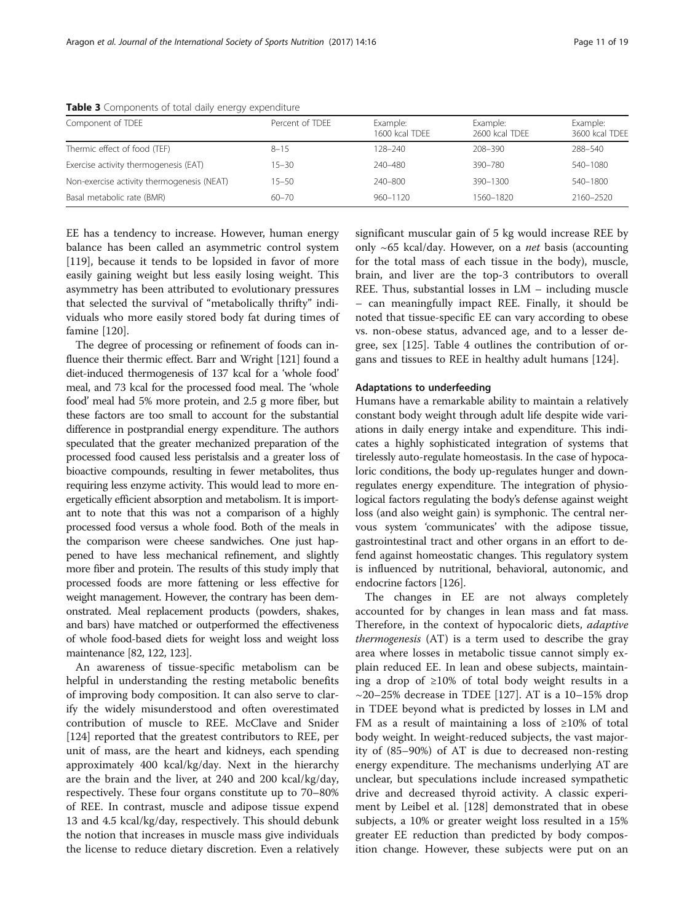| Component of TDEE                          | Percent of TDEE | Example:<br>1600 kcal TDEE | Example:<br>2600 kcal TDEE | Example:<br>3600 kcal TDEE |
|--------------------------------------------|-----------------|----------------------------|----------------------------|----------------------------|
| Thermic effect of food (TEF)               | $8 - 15$        | 128-240                    | 208-390                    | 288-540                    |
| Exercise activity thermogenesis (EAT)      | $15 - 30$       | $240 - 480$                | 390-780                    | 540-1080                   |
| Non-exercise activity thermogenesis (NEAT) | $15 - 50$       | $240 - 800$                | 390-1300                   | 540-1800                   |
| Basal metabolic rate (BMR)                 | 60-70           | $960 - 1120$               | 1560-1820                  | 2160-2520                  |

<span id="page-10-0"></span>Table 3 Components of total daily energy expenditure

EE has a tendency to increase. However, human energy balance has been called an asymmetric control system [[119\]](#page-17-0), because it tends to be lopsided in favor of more easily gaining weight but less easily losing weight. This asymmetry has been attributed to evolutionary pressures that selected the survival of "metabolically thrifty" individuals who more easily stored body fat during times of famine [[120](#page-17-0)].

The degree of processing or refinement of foods can influence their thermic effect. Barr and Wright [\[121](#page-17-0)] found a diet-induced thermogenesis of 137 kcal for a 'whole food' meal, and 73 kcal for the processed food meal. The 'whole food' meal had 5% more protein, and 2.5 g more fiber, but these factors are too small to account for the substantial difference in postprandial energy expenditure. The authors speculated that the greater mechanized preparation of the processed food caused less peristalsis and a greater loss of bioactive compounds, resulting in fewer metabolites, thus requiring less enzyme activity. This would lead to more energetically efficient absorption and metabolism. It is important to note that this was not a comparison of a highly processed food versus a whole food. Both of the meals in the comparison were cheese sandwiches. One just happened to have less mechanical refinement, and slightly more fiber and protein. The results of this study imply that processed foods are more fattening or less effective for weight management. However, the contrary has been demonstrated. Meal replacement products (powders, shakes, and bars) have matched or outperformed the effectiveness of whole food-based diets for weight loss and weight loss maintenance [\[82,](#page-16-0) [122, 123](#page-17-0)].

An awareness of tissue-specific metabolism can be helpful in understanding the resting metabolic benefits of improving body composition. It can also serve to clarify the widely misunderstood and often overestimated contribution of muscle to REE. McClave and Snider [[124\]](#page-17-0) reported that the greatest contributors to REE, per unit of mass, are the heart and kidneys, each spending approximately 400 kcal/kg/day. Next in the hierarchy are the brain and the liver, at 240 and 200 kcal/kg/day, respectively. These four organs constitute up to 70–80% of REE. In contrast, muscle and adipose tissue expend 13 and 4.5 kcal/kg/day, respectively. This should debunk the notion that increases in muscle mass give individuals the license to reduce dietary discretion. Even a relatively significant muscular gain of 5 kg would increase REE by only  $~65$  kcal/day. However, on a *net* basis (accounting for the total mass of each tissue in the body), muscle, brain, and liver are the top-3 contributors to overall REE. Thus, substantial losses in  $LM$  – including muscle – can meaningfully impact REE. Finally, it should be noted that tissue-specific EE can vary according to obese vs. non-obese status, advanced age, and to a lesser degree, sex [[125\]](#page-17-0). Table [4](#page-11-0) outlines the contribution of organs and tissues to REE in healthy adult humans [\[124](#page-17-0)].

#### Adaptations to underfeeding

Humans have a remarkable ability to maintain a relatively constant body weight through adult life despite wide variations in daily energy intake and expenditure. This indicates a highly sophisticated integration of systems that tirelessly auto-regulate homeostasis. In the case of hypocaloric conditions, the body up-regulates hunger and downregulates energy expenditure. The integration of physiological factors regulating the body's defense against weight loss (and also weight gain) is symphonic. The central nervous system 'communicates' with the adipose tissue, gastrointestinal tract and other organs in an effort to defend against homeostatic changes. This regulatory system is influenced by nutritional, behavioral, autonomic, and endocrine factors [[126](#page-17-0)].

The changes in EE are not always completely accounted for by changes in lean mass and fat mass. Therefore, in the context of hypocaloric diets, *adaptive* thermogenesis (AT) is a term used to describe the gray area where losses in metabolic tissue cannot simply explain reduced EE. In lean and obese subjects, maintaining a drop of ≥10% of total body weight results in a  $\sim$ 20–25% decrease in TDEE [\[127\]](#page-17-0). AT is a 10–15% drop in TDEE beyond what is predicted by losses in LM and FM as a result of maintaining a loss of ≥10% of total body weight. In weight-reduced subjects, the vast majority of (85–90%) of AT is due to decreased non-resting energy expenditure. The mechanisms underlying AT are unclear, but speculations include increased sympathetic drive and decreased thyroid activity. A classic experiment by Leibel et al. [[128\]](#page-17-0) demonstrated that in obese subjects, a 10% or greater weight loss resulted in a 15% greater EE reduction than predicted by body composition change. However, these subjects were put on an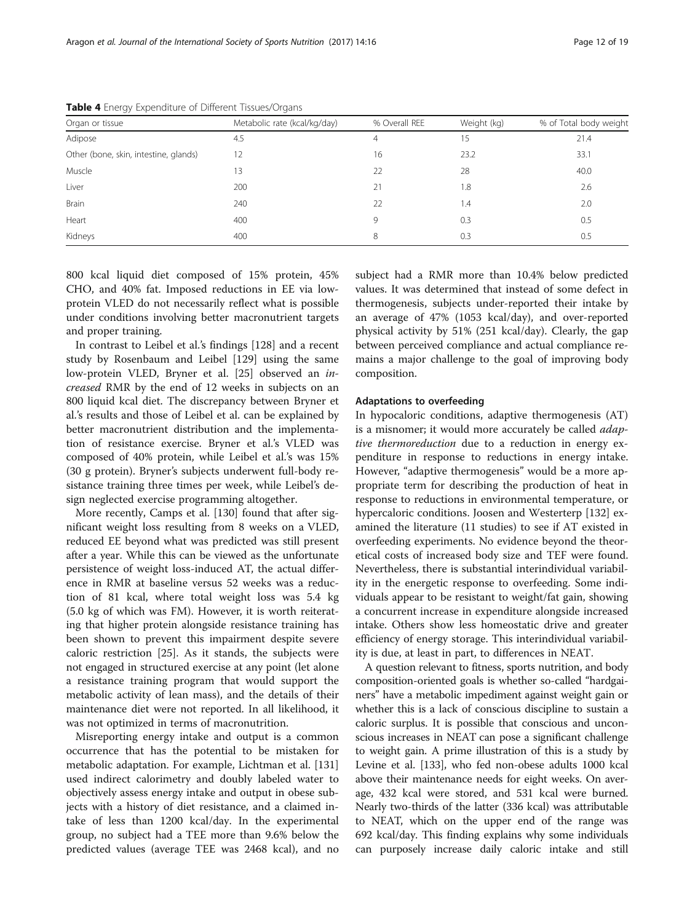| Organ or tissue                       | Metabolic rate (kcal/kg/day) | % Overall REE | Weight (kg) | % of Total body weight |
|---------------------------------------|------------------------------|---------------|-------------|------------------------|
| Adipose                               | 4.5                          | 4             | 15          | 21.4                   |
| Other (bone, skin, intestine, glands) | 12                           | 16            | 23.2        | 33.1                   |
| Muscle                                | 13                           | 22            | 28          | 40.0                   |
| Liver                                 | 200                          | 21            | 1.8         | 2.6                    |
| Brain                                 | 240                          | 22            | 1.4         | 2.0                    |
| Heart                                 | 400                          | 9             | 0.3         | 0.5                    |
| Kidneys                               | 400                          | 8             | 0.3         | 0.5                    |

<span id="page-11-0"></span>Table 4 Energy Expenditure of Different Tissues/Organs

800 kcal liquid diet composed of 15% protein, 45% CHO, and 40% fat. Imposed reductions in EE via lowprotein VLED do not necessarily reflect what is possible under conditions involving better macronutrient targets and proper training.

In contrast to Leibel et al.'s findings [\[128](#page-17-0)] and a recent study by Rosenbaum and Leibel [[129](#page-17-0)] using the same low-protein VLED, Bryner et al. [\[25](#page-15-0)] observed an increased RMR by the end of 12 weeks in subjects on an 800 liquid kcal diet. The discrepancy between Bryner et al.'s results and those of Leibel et al. can be explained by better macronutrient distribution and the implementation of resistance exercise. Bryner et al.'s VLED was composed of 40% protein, while Leibel et al.'s was 15% (30 g protein). Bryner's subjects underwent full-body resistance training three times per week, while Leibel's design neglected exercise programming altogether.

More recently, Camps et al. [\[130\]](#page-17-0) found that after significant weight loss resulting from 8 weeks on a VLED, reduced EE beyond what was predicted was still present after a year. While this can be viewed as the unfortunate persistence of weight loss-induced AT, the actual difference in RMR at baseline versus 52 weeks was a reduction of 81 kcal, where total weight loss was 5.4 kg (5.0 kg of which was FM). However, it is worth reiterating that higher protein alongside resistance training has been shown to prevent this impairment despite severe caloric restriction [\[25\]](#page-15-0). As it stands, the subjects were not engaged in structured exercise at any point (let alone a resistance training program that would support the metabolic activity of lean mass), and the details of their maintenance diet were not reported. In all likelihood, it was not optimized in terms of macronutrition.

Misreporting energy intake and output is a common occurrence that has the potential to be mistaken for metabolic adaptation. For example, Lichtman et al. [[131](#page-17-0)] used indirect calorimetry and doubly labeled water to objectively assess energy intake and output in obese subjects with a history of diet resistance, and a claimed intake of less than 1200 kcal/day. In the experimental group, no subject had a TEE more than 9.6% below the predicted values (average TEE was 2468 kcal), and no

subject had a RMR more than 10.4% below predicted values. It was determined that instead of some defect in thermogenesis, subjects under-reported their intake by an average of 47% (1053 kcal/day), and over-reported physical activity by 51% (251 kcal/day). Clearly, the gap between perceived compliance and actual compliance remains a major challenge to the goal of improving body composition.

#### Adaptations to overfeeding

In hypocaloric conditions, adaptive thermogenesis (AT) is a misnomer; it would more accurately be called *adap*tive thermoreduction due to a reduction in energy expenditure in response to reductions in energy intake. However, "adaptive thermogenesis" would be a more appropriate term for describing the production of heat in response to reductions in environmental temperature, or hypercaloric conditions. Joosen and Westerterp [\[132\]](#page-17-0) examined the literature (11 studies) to see if AT existed in overfeeding experiments. No evidence beyond the theoretical costs of increased body size and TEF were found. Nevertheless, there is substantial interindividual variability in the energetic response to overfeeding. Some individuals appear to be resistant to weight/fat gain, showing a concurrent increase in expenditure alongside increased intake. Others show less homeostatic drive and greater efficiency of energy storage. This interindividual variability is due, at least in part, to differences in NEAT.

A question relevant to fitness, sports nutrition, and body composition-oriented goals is whether so-called "hardgainers" have a metabolic impediment against weight gain or whether this is a lack of conscious discipline to sustain a caloric surplus. It is possible that conscious and unconscious increases in NEAT can pose a significant challenge to weight gain. A prime illustration of this is a study by Levine et al. [\[133\]](#page-17-0), who fed non-obese adults 1000 kcal above their maintenance needs for eight weeks. On average, 432 kcal were stored, and 531 kcal were burned. Nearly two-thirds of the latter (336 kcal) was attributable to NEAT, which on the upper end of the range was 692 kcal/day. This finding explains why some individuals can purposely increase daily caloric intake and still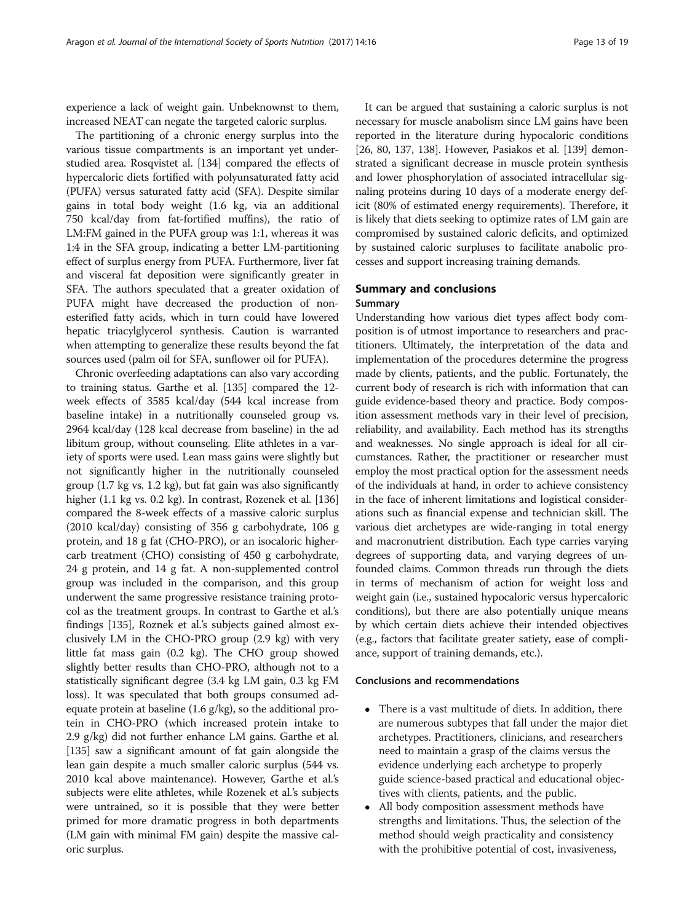experience a lack of weight gain. Unbeknownst to them, increased NEAT can negate the targeted caloric surplus.

The partitioning of a chronic energy surplus into the various tissue compartments is an important yet understudied area. Rosqvistet al. [\[134\]](#page-17-0) compared the effects of hypercaloric diets fortified with polyunsaturated fatty acid (PUFA) versus saturated fatty acid (SFA). Despite similar gains in total body weight (1.6 kg, via an additional 750 kcal/day from fat-fortified muffins), the ratio of LM:FM gained in the PUFA group was 1:1, whereas it was 1:4 in the SFA group, indicating a better LM-partitioning effect of surplus energy from PUFA. Furthermore, liver fat and visceral fat deposition were significantly greater in SFA. The authors speculated that a greater oxidation of PUFA might have decreased the production of nonesterified fatty acids, which in turn could have lowered hepatic triacylglycerol synthesis. Caution is warranted when attempting to generalize these results beyond the fat sources used (palm oil for SFA, sunflower oil for PUFA).

Chronic overfeeding adaptations can also vary according to training status. Garthe et al. [\[135\]](#page-17-0) compared the 12 week effects of 3585 kcal/day (544 kcal increase from baseline intake) in a nutritionally counseled group vs. 2964 kcal/day (128 kcal decrease from baseline) in the ad libitum group, without counseling. Elite athletes in a variety of sports were used. Lean mass gains were slightly but not significantly higher in the nutritionally counseled group (1.7 kg vs. 1.2 kg), but fat gain was also significantly higher (1.1 kg vs. 0.2 kg). In contrast, Rozenek et al. [\[136](#page-17-0)] compared the 8-week effects of a massive caloric surplus (2010 kcal/day) consisting of 356 g carbohydrate, 106 g protein, and 18 g fat (CHO-PRO), or an isocaloric highercarb treatment (CHO) consisting of 450 g carbohydrate, 24 g protein, and 14 g fat. A non-supplemented control group was included in the comparison, and this group underwent the same progressive resistance training protocol as the treatment groups. In contrast to Garthe et al.'s findings [\[135](#page-17-0)], Roznek et al.'s subjects gained almost exclusively LM in the CHO-PRO group (2.9 kg) with very little fat mass gain (0.2 kg). The CHO group showed slightly better results than CHO-PRO, although not to a statistically significant degree (3.4 kg LM gain, 0.3 kg FM loss). It was speculated that both groups consumed adequate protein at baseline (1.6 g/kg), so the additional protein in CHO-PRO (which increased protein intake to 2.9 g/kg) did not further enhance LM gains. Garthe et al. [[135](#page-17-0)] saw a significant amount of fat gain alongside the lean gain despite a much smaller caloric surplus (544 vs. 2010 kcal above maintenance). However, Garthe et al.'s subjects were elite athletes, while Rozenek et al.'s subjects were untrained, so it is possible that they were better primed for more dramatic progress in both departments (LM gain with minimal FM gain) despite the massive caloric surplus.

It can be argued that sustaining a caloric surplus is not necessary for muscle anabolism since LM gains have been reported in the literature during hypocaloric conditions [[26](#page-15-0), [80,](#page-16-0) [137, 138\]](#page-17-0). However, Pasiakos et al. [\[139](#page-17-0)] demonstrated a significant decrease in muscle protein synthesis and lower phosphorylation of associated intracellular signaling proteins during 10 days of a moderate energy deficit (80% of estimated energy requirements). Therefore, it is likely that diets seeking to optimize rates of LM gain are compromised by sustained caloric deficits, and optimized by sustained caloric surpluses to facilitate anabolic processes and support increasing training demands.

# Summary and conclusions Summary

Understanding how various diet types affect body composition is of utmost importance to researchers and practitioners. Ultimately, the interpretation of the data and implementation of the procedures determine the progress made by clients, patients, and the public. Fortunately, the current body of research is rich with information that can guide evidence-based theory and practice. Body composition assessment methods vary in their level of precision, reliability, and availability. Each method has its strengths and weaknesses. No single approach is ideal for all circumstances. Rather, the practitioner or researcher must employ the most practical option for the assessment needs of the individuals at hand, in order to achieve consistency in the face of inherent limitations and logistical considerations such as financial expense and technician skill. The various diet archetypes are wide-ranging in total energy and macronutrient distribution. Each type carries varying degrees of supporting data, and varying degrees of unfounded claims. Common threads run through the diets in terms of mechanism of action for weight loss and weight gain (i.e., sustained hypocaloric versus hypercaloric conditions), but there are also potentially unique means by which certain diets achieve their intended objectives (e.g., factors that facilitate greater satiety, ease of compliance, support of training demands, etc.).

# Conclusions and recommendations

- There is a vast multitude of diets. In addition, there are numerous subtypes that fall under the major diet archetypes. Practitioners, clinicians, and researchers need to maintain a grasp of the claims versus the evidence underlying each archetype to properly guide science-based practical and educational objectives with clients, patients, and the public.
- All body composition assessment methods have strengths and limitations. Thus, the selection of the method should weigh practicality and consistency with the prohibitive potential of cost, invasiveness,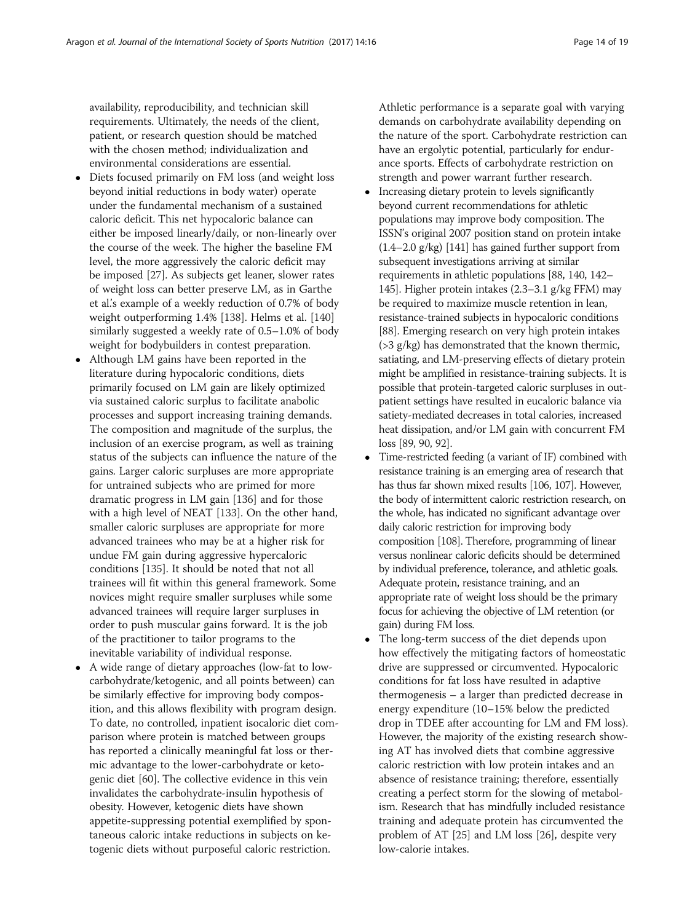- Diets focused primarily on FM loss (and weight loss beyond initial reductions in body water) operate under the fundamental mechanism of a sustained caloric deficit. This net hypocaloric balance can either be imposed linearly/daily, or non-linearly over the course of the week. The higher the baseline FM level, the more aggressively the caloric deficit may be imposed [[27](#page-15-0)]. As subjects get leaner, slower rates of weight loss can better preserve LM, as in Garthe et al.'s example of a weekly reduction of 0.7% of body weight outperforming 1.4% [\[138\]](#page-17-0). Helms et al. [\[140\]](#page-17-0) similarly suggested a weekly rate of 0.5–1.0% of body weight for bodybuilders in contest preparation.
- Although LM gains have been reported in the literature during hypocaloric conditions, diets primarily focused on LM gain are likely optimized via sustained caloric surplus to facilitate anabolic processes and support increasing training demands. The composition and magnitude of the surplus, the inclusion of an exercise program, as well as training status of the subjects can influence the nature of the gains. Larger caloric surpluses are more appropriate for untrained subjects who are primed for more dramatic progress in LM gain [[136](#page-17-0)] and for those with a high level of NEAT [[133](#page-17-0)]. On the other hand, smaller caloric surpluses are appropriate for more advanced trainees who may be at a higher risk for undue FM gain during aggressive hypercaloric conditions [[135](#page-17-0)]. It should be noted that not all trainees will fit within this general framework. Some novices might require smaller surpluses while some advanced trainees will require larger surpluses in order to push muscular gains forward. It is the job of the practitioner to tailor programs to the inevitable variability of individual response.
- A wide range of dietary approaches (low-fat to lowcarbohydrate/ketogenic, and all points between) can be similarly effective for improving body composition, and this allows flexibility with program design. To date, no controlled, inpatient isocaloric diet comparison where protein is matched between groups has reported a clinically meaningful fat loss or thermic advantage to the lower-carbohydrate or ketogenic diet [[60](#page-16-0)]. The collective evidence in this vein invalidates the carbohydrate-insulin hypothesis of obesity. However, ketogenic diets have shown appetite-suppressing potential exemplified by spontaneous caloric intake reductions in subjects on ketogenic diets without purposeful caloric restriction.

Athletic performance is a separate goal with varying demands on carbohydrate availability depending on the nature of the sport. Carbohydrate restriction can have an ergolytic potential, particularly for endurance sports. Effects of carbohydrate restriction on strength and power warrant further research.

- Increasing dietary protein to levels significantly beyond current recommendations for athletic populations may improve body composition. The ISSN's original 2007 position stand on protein intake (1.4–2.0 g/kg) [\[141](#page-17-0)] has gained further support from subsequent investigations arriving at similar requirements in athletic populations [[88](#page-16-0), [140](#page-17-0), [142](#page-17-0)– [145\]](#page-18-0). Higher protein intakes (2.3–3.1 g/kg FFM) may be required to maximize muscle retention in lean, resistance-trained subjects in hypocaloric conditions [[88](#page-16-0)]. Emerging research on very high protein intakes (>3 g/kg) has demonstrated that the known thermic, satiating, and LM-preserving effects of dietary protein might be amplified in resistance-training subjects. It is possible that protein-targeted caloric surpluses in outpatient settings have resulted in eucaloric balance via satiety-mediated decreases in total calories, increased heat dissipation, and/or LM gain with concurrent FM loss [\[89](#page-16-0), [90,](#page-16-0) [92\]](#page-16-0).
- Time-restricted feeding (a variant of IF) combined with resistance training is an emerging area of research that has thus far shown mixed results [\[106,](#page-17-0) [107](#page-17-0)]. However, the body of intermittent caloric restriction research, on the whole, has indicated no significant advantage over daily caloric restriction for improving body composition [\[108\]](#page-17-0). Therefore, programming of linear versus nonlinear caloric deficits should be determined by individual preference, tolerance, and athletic goals. Adequate protein, resistance training, and an appropriate rate of weight loss should be the primary focus for achieving the objective of LM retention (or gain) during FM loss.
- The long-term success of the diet depends upon how effectively the mitigating factors of homeostatic drive are suppressed or circumvented. Hypocaloric conditions for fat loss have resulted in adaptive thermogenesis – a larger than predicted decrease in energy expenditure (10–15% below the predicted drop in TDEE after accounting for LM and FM loss). However, the majority of the existing research showing AT has involved diets that combine aggressive caloric restriction with low protein intakes and an absence of resistance training; therefore, essentially creating a perfect storm for the slowing of metabolism. Research that has mindfully included resistance training and adequate protein has circumvented the problem of AT [[25](#page-15-0)] and LM loss [[26](#page-15-0)], despite very low-calorie intakes.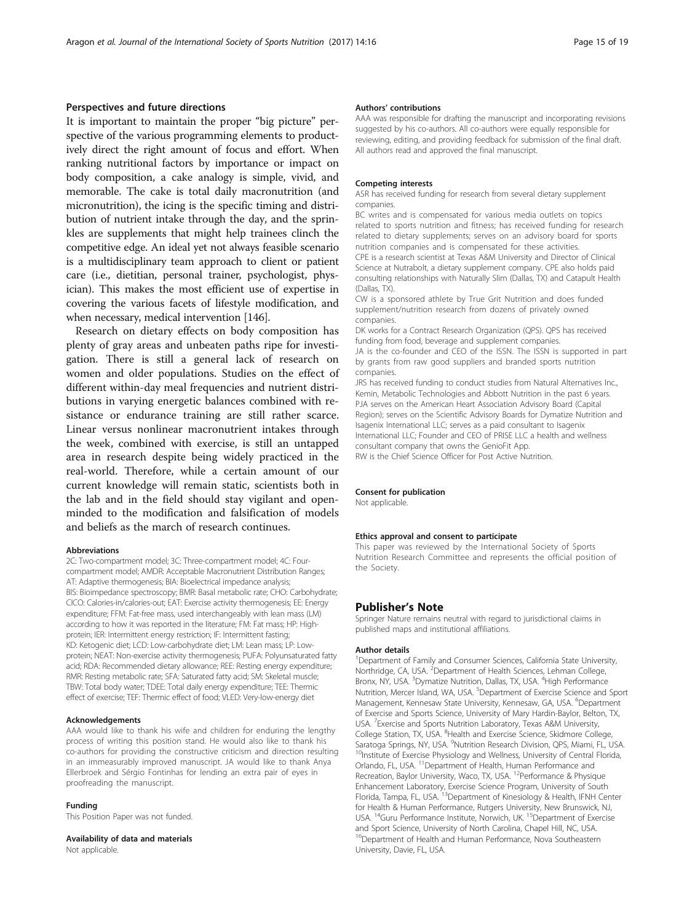# Perspectives and future directions

It is important to maintain the proper "big picture" perspective of the various programming elements to productively direct the right amount of focus and effort. When ranking nutritional factors by importance or impact on body composition, a cake analogy is simple, vivid, and memorable. The cake is total daily macronutrition (and micronutrition), the icing is the specific timing and distribution of nutrient intake through the day, and the sprinkles are supplements that might help trainees clinch the competitive edge. An ideal yet not always feasible scenario is a multidisciplinary team approach to client or patient care (i.e., dietitian, personal trainer, psychologist, physician). This makes the most efficient use of expertise in covering the various facets of lifestyle modification, and when necessary, medical intervention [\[146\]](#page-18-0).

Research on dietary effects on body composition has plenty of gray areas and unbeaten paths ripe for investigation. There is still a general lack of research on women and older populations. Studies on the effect of different within-day meal frequencies and nutrient distributions in varying energetic balances combined with resistance or endurance training are still rather scarce. Linear versus nonlinear macronutrient intakes through the week, combined with exercise, is still an untapped area in research despite being widely practiced in the real-world. Therefore, while a certain amount of our current knowledge will remain static, scientists both in the lab and in the field should stay vigilant and openminded to the modification and falsification of models and beliefs as the march of research continues.

#### Abbreviations

2C: Two-compartment model; 3C: Three-compartment model; 4C: Fourcompartment model; AMDR: Acceptable Macronutrient Distribution Ranges; AT: Adaptive thermogenesis; BIA: Bioelectrical impedance analysis; BIS: Bioimpedance spectroscopy; BMR: Basal metabolic rate; CHO: Carbohydrate; CICO: Calories-in/calories-out; EAT: Exercise activity thermogenesis; EE: Energy expenditure; FFM: Fat-free mass, used interchangeably with lean mass (LM) according to how it was reported in the literature; FM: Fat mass; HP: Highprotein; IER: Intermittent energy restriction; IF: Intermittent fasting; KD: Ketogenic diet; LCD: Low-carbohydrate diet; LM: Lean mass; LP: Lowprotein; NEAT: Non-exercise activity thermogenesis; PUFA: Polyunsaturated fatty acid; RDA: Recommended dietary allowance; REE: Resting energy expenditure; RMR: Resting metabolic rate; SFA: Saturated fatty acid; SM: Skeletal muscle; TBW: Total body water; TDEE: Total daily energy expenditure; TEE: Thermic effect of exercise; TEF: Thermic effect of food; VLED: Very-low-energy diet

#### Acknowledgements

AAA would like to thank his wife and children for enduring the lengthy process of writing this position stand. He would also like to thank his co-authors for providing the constructive criticism and direction resulting in an immeasurably improved manuscript. JA would like to thank Anya Ellerbroek and Sérgio Fontinhas for lending an extra pair of eyes in proofreading the manuscript.

#### Funding

This Position Paper was not funded.

Availability of data and materials Not applicable.

#### Authors' contributions

AAA was responsible for drafting the manuscript and incorporating revisions suggested by his co-authors. All co-authors were equally responsible for reviewing, editing, and providing feedback for submission of the final draft. All authors read and approved the final manuscript.

#### Competing interests

ASR has received funding for research from several dietary supplement companies.

BC writes and is compensated for various media outlets on topics related to sports nutrition and fitness; has received funding for research related to dietary supplements; serves on an advisory board for sports nutrition companies and is compensated for these activities. CPE is a research scientist at Texas A&M University and Director of Clinical Science at Nutrabolt, a dietary supplement company. CPE also holds paid consulting relationships with Naturally Slim (Dallas, TX) and Catapult Health (Dallas, TX).

CW is a sponsored athlete by True Grit Nutrition and does funded supplement/nutrition research from dozens of privately owned companies.

DK works for a Contract Research Organization (QPS). QPS has received funding from food, beverage and supplement companies.

JA is the co-founder and CEO of the ISSN. The ISSN is supported in part by grants from raw good suppliers and branded sports nutrition companies.

JRS has received funding to conduct studies from Natural Alternatives Inc., Kemin, Metabolic Technologies and Abbott Nutrition in the past 6 years. PJA serves on the American Heart Association Advisory Board (Capital Region); serves on the Scientific Advisory Boards for Dymatize Nutrition and Isagenix International LLC; serves as a paid consultant to Isagenix International LLC; Founder and CEO of PRISE LLC a health and wellness consultant company that owns the GenioFit App. RW is the Chief Science Officer for Post Active Nutrition.

#### Consent for publication

Not applicable.

#### Ethics approval and consent to participate

This paper was reviewed by the International Society of Sports Nutrition Research Committee and represents the official position of the Society.

#### Publisher's Note

Springer Nature remains neutral with regard to jurisdictional claims in published maps and institutional affiliations.

#### Author details

<sup>1</sup>Department of Family and Consumer Sciences, California State University, Northridge, CA, USA. <sup>2</sup> Department of Health Sciences, Lehman College, Bronx, NY, USA. <sup>3</sup>Dymatize Nutrition, Dallas, TX, USA. <sup>4</sup>High Performance Nutrition, Mercer Island, WA, USA. <sup>5</sup>Department of Exercise Science and Sport Management, Kennesaw State University, Kennesaw, GA, USA. <sup>6</sup>Department of Exercise and Sports Science, University of Mary Hardin-Baylor, Belton, TX, USA. <sup>7</sup> Exercise and Sports Nutrition Laboratory, Texas A&M University College Station, TX, USA. <sup>8</sup> Health and Exercise Science, Skidmore College Saratoga Springs, NY, USA. <sup>9</sup>Nutrition Research Division, QPS, Miami, FL, USA.  $10$ Institute of Exercise Physiology and Wellness, University of Central Florida, Orlando, FL, USA. 11Department of Health, Human Performance and Recreation, Baylor University, Waco, TX, USA. <sup>12</sup>Performance & Physique Enhancement Laboratory, Exercise Science Program, University of South<br>Florida, Tampa, FL, USA. <sup>13</sup>Department of Kinesiology & Health, IFNH Center for Health & Human Performance, Rutgers University, New Brunswick, NJ, USA. <sup>14</sup>Guru Performance Institute, Norwich, UK. <sup>15</sup>Department of Exercise and Sport Science, University of North Carolina, Chapel Hill, NC, USA. <sup>16</sup>Department of Health and Human Performance, Nova Southeastern University, Davie, FL, USA.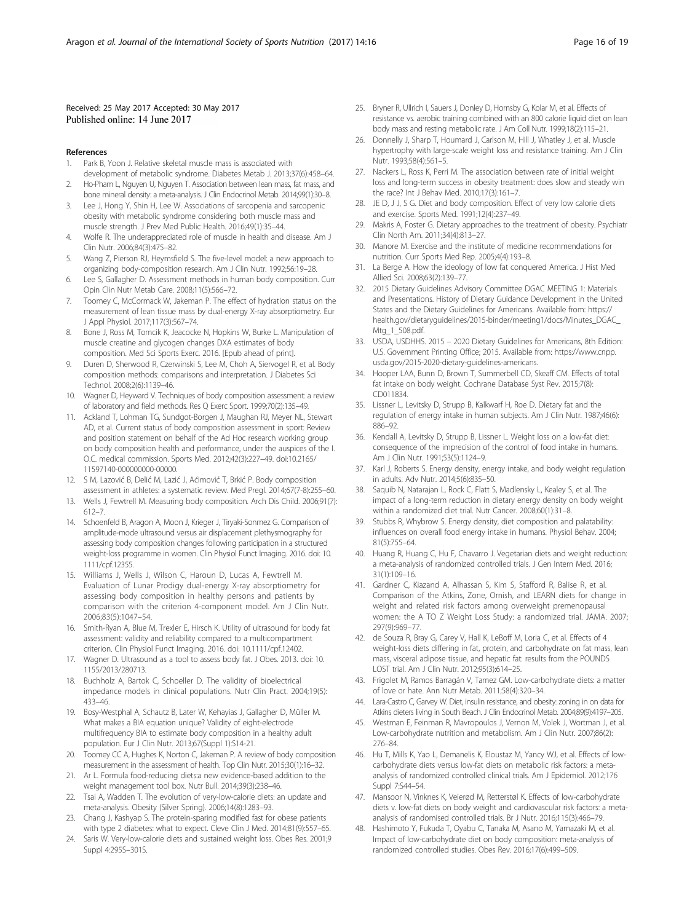#### <span id="page-15-0"></span>Received: 25 May 2017 Accepted: 30 May 2017 Published online: 14 June 2017

#### References

- 1. Park B, Yoon J. Relative skeletal muscle mass is associated with development of metabolic syndrome. Diabetes Metab J. 2013;37(6):458–64.
- 2. Ho-Pham L, Nguyen U, Nguyen T. Association between lean mass, fat mass, and bone mineral density: a meta-analysis. J Clin Endocrinol Metab. 2014;99(1):30–8.
- 3. Lee J, Hong Y, Shin H, Lee W. Associations of sarcopenia and sarcopenic obesity with metabolic syndrome considering both muscle mass and muscle strength. J Prev Med Public Health. 2016;49(1):35–44.
- 4. Wolfe R. The underappreciated role of muscle in health and disease. Am J Clin Nutr. 2006;84(3):475–82.
- 5. Wang Z, Pierson RJ, Heymsfield S. The five-level model: a new approach to organizing body-composition research. Am J Clin Nutr. 1992;56:19–28.
- Lee S, Gallagher D. Assessment methods in human body composition. Curr Opin Clin Nutr Metab Care. 2008;11(5):566–72.
- 7. Toomey C, McCormack W, Jakeman P. The effect of hydration status on the measurement of lean tissue mass by dual-energy X-ray absorptiometry. Eur J Appl Physiol. 2017;117(3):567–74.
- 8. Bone J, Ross M, Tomcik K, Jeacocke N, Hopkins W, Burke L. Manipulation of muscle creatine and glycogen changes DXA estimates of body composition. Med Sci Sports Exerc. 2016. [Epub ahead of print].
- 9. Duren D, Sherwood R, Czerwinski S, Lee M, Choh A, Siervogel R, et al. Body composition methods: comparisons and interpretation. J Diabetes Sci Technol. 2008;2(6):1139–46.
- 10. Wagner D, Heyward V. Techniques of body composition assessment: a review of laboratory and field methods. Res Q Exerc Sport. 1999;70(2):135–49.
- 11. Ackland T, Lohman TG, Sundgot-Borgen J, Maughan RJ, Meyer NL, Stewart AD, et al. Current status of body composition assessment in sport: Review and position statement on behalf of the Ad Hoc research working group on body composition health and performance, under the auspices of the I. O.C. medical commission. Sports Med. 2012;42(3):227–49. doi[:10.2165/](http://dx.doi.org/10.2165/11597140-000000000-00000) [11597140-000000000-00000.](http://dx.doi.org/10.2165/11597140-000000000-00000)
- 12. S M, Lazović B, Delić M, Lazić J, Aćimović T, Brkić P. Body composition assessment in athletes: a systematic review. Med Pregl. 2014;67(7-8):255–60.
- 13. Wells J, Fewtrell M. Measuring body composition. Arch Dis Child. 2006;91(7): 612–7.
- 14. Schoenfeld B, Aragon A, Moon J, Krieger J, Tiryaki-Sonmez G. Comparison of amplitude-mode ultrasound versus air displacement plethysmography for assessing body composition changes following participation in a structured weight-loss programme in women. Clin Physiol Funct Imaging. 2016. doi: [10.](http://dx.doi.org/10.1111/cpf.12355) [1111/cpf.12355.](http://dx.doi.org/10.1111/cpf.12355)
- 15. Williams J, Wells J, Wilson C, Haroun D, Lucas A, Fewtrell M. Evaluation of Lunar Prodigy dual-energy X-ray absorptiometry for assessing body composition in healthy persons and patients by comparison with the criterion 4-component model. Am J Clin Nutr. 2006;83(5):1047–54.
- 16. Smith-Ryan A, Blue M, Trexler E, Hirsch K. Utility of ultrasound for body fat assessment: validity and reliability compared to a multicompartment criterion. Clin Physiol Funct Imaging. 2016. doi: [10.1111/cpf.12402.](http://dx.doi.org/10.1111/cpf.12402)
- 17. Wagner D. Ultrasound as a tool to assess body fat. J Obes. 2013. doi: [10.](http://dx.doi.org/10.1155/2013/280713) [1155/2013/280713](http://dx.doi.org/10.1155/2013/280713).
- 18. Buchholz A, Bartok C, Schoeller D. The validity of bioelectrical impedance models in clinical populations. Nutr Clin Pract. 2004;19(5): 433–46.
- 19. Bosy-Westphal A, Schautz B, Later W, Kehayias J, Gallagher D, Müller M. What makes a BIA equation unique? Validity of eight-electrode multifrequency BIA to estimate body composition in a healthy adult population. Eur J Clin Nutr. 2013;67(Suppl 1):S14-21.
- 20. Toomey CC A, Hughes K, Norton C, Jakeman P. A review of body composition measurement in the assessment of health. Top Clin Nutr. 2015;30(1):16–32.
- 21. Ar L. Formula food-reducing diets:a new evidence-based addition to the weight management tool box. Nutr Bull. 2014;39(3):238–46.
- 22. Tsai A, Wadden T. The evolution of very-low-calorie diets: an update and meta-analysis. Obesity (Silver Spring). 2006;14(8):1283–93.
- 23. Chang J, Kashyap S. The protein-sparing modified fast for obese patients with type 2 diabetes: what to expect. Cleve Clin J Med. 2014;81(9):557–65.
- 24. Saris W. Very-low-calorie diets and sustained weight loss. Obes Res. 2001;9 Suppl 4:295S–301S.
- 25. Bryner R, Ullrich I, Sauers J, Donley D, Hornsby G, Kolar M, et al. Effects of resistance vs. aerobic training combined with an 800 calorie liquid diet on lean body mass and resting metabolic rate. J Am Coll Nutr. 1999;18(2):115–21.
- 26. Donnelly J, Sharp T, Houmard J, Carlson M, Hill J, Whatley J, et al. Muscle hypertrophy with large-scale weight loss and resistance training. Am J Clin Nutr. 1993;58(4):561–5.
- 27. Nackers L, Ross K, Perri M. The association between rate of initial weight loss and long-term success in obesity treatment: does slow and steady win the race? Int J Behav Med. 2010;17(3):161–7.
- 28. JE D, J J, S G. Diet and body composition. Effect of very low calorie diets and exercise. Sports Med. 1991;12(4):237–49.
- 29. Makris A, Foster G. Dietary approaches to the treatment of obesity. Psychiatr Clin North Am. 2011;34(4):813–27.
- 30. Manore M. Exercise and the institute of medicine recommendations for nutrition. Curr Sports Med Rep. 2005;4(4):193–8.
- 31. La Berge A. How the ideology of low fat conquered America. J Hist Med Allied Sci. 2008;63(2):139–77.
- 32. 2015 Dietary Guidelines Advisory Committee DGAC MEETING 1: Materials and Presentations. History of Dietary Guidance Development in the United States and the Dietary Guidelines for Americans. Available from: [https://](https://health.gov/dietaryguidelines/2015-binder/meeting1/docs/Minutes_DGAC_Mtg_1_508.pdf) [health.gov/dietaryguidelines/2015-binder/meeting1/docs/Minutes\\_DGAC\\_](https://health.gov/dietaryguidelines/2015-binder/meeting1/docs/Minutes_DGAC_Mtg_1_508.pdf) [Mtg\\_1\\_508.pdf.](https://health.gov/dietaryguidelines/2015-binder/meeting1/docs/Minutes_DGAC_Mtg_1_508.pdf)
- 33. USDA, USDHHS. 2015 2020 Dietary Guidelines for Americans, 8th Edition: U.S. Government Printing Office; 2015. Available from: [https://www.cnpp.](https://www.cnpp.usda.gov/2015-2020-dietary-guidelines-americans) [usda.gov/2015-2020-dietary-guidelines-americans](https://www.cnpp.usda.gov/2015-2020-dietary-guidelines-americans).
- 34. Hooper LAA, Bunn D, Brown T, Summerbell CD, Skeaff CM. Effects of total fat intake on body weight. Cochrane Database Syst Rev. 2015;7(8): CD011834.
- 35. Lissner L, Levitsky D, Strupp B, Kalkwarf H, Roe D. Dietary fat and the regulation of energy intake in human subjects. Am J Clin Nutr. 1987;46(6): 886–92.
- 36. Kendall A, Levitsky D, Strupp B, Lissner L. Weight loss on a low-fat diet: consequence of the imprecision of the control of food intake in humans. Am J Clin Nutr. 1991;53(5):1124–9.
- 37. Karl J, Roberts S. Energy density, energy intake, and body weight regulation in adults. Adv Nutr. 2014;5(6):835–50.
- 38. Saquib N, Natarajan L, Rock C, Flatt S, Madlensky L, Kealey S, et al. The impact of a long-term reduction in dietary energy density on body weight within a randomized diet trial. Nutr Cancer. 2008;60(1):31–8.
- 39. Stubbs R, Whybrow S. Energy density, diet composition and palatability: influences on overall food energy intake in humans. Physiol Behav. 2004; 81(5):755–64.
- 40. Huang R, Huang C, Hu F, Chavarro J. Vegetarian diets and weight reduction: a meta-analysis of randomized controlled trials. J Gen Intern Med. 2016; 31(1):109–16.
- 41. Gardner C, Kiazand A, Alhassan S, Kim S, Stafford R, Balise R, et al. Comparison of the Atkins, Zone, Ornish, and LEARN diets for change in weight and related risk factors among overweight premenopausal women: the A TO Z Weight Loss Study: a randomized trial. JAMA. 2007; 297(9):969–77.
- 42. de Souza R, Bray G, Carey V, Hall K, LeBoff M, Loria C, et al. Effects of 4 weight-loss diets differing in fat, protein, and carbohydrate on fat mass, lean mass, visceral adipose tissue, and hepatic fat: results from the POUNDS LOST trial. Am J Clin Nutr. 2012;95(3):614–25.
- 43. Frigolet M, Ramos Barragán V, Tamez GM. Low-carbohydrate diets: a matter of love or hate. Ann Nutr Metab. 2011;58(4):320–34.
- 44. Lara-Castro C, Garvey W. Diet, insulin resistance, and obesity: zoning in on data for Atkins dieters living in South Beach. J Clin Endocrinol Metab. 2004;89(9):4197–205.
- 45. Westman E, Feinman R, Mavropoulos J, Vernon M, Volek J, Wortman J, et al. Low-carbohydrate nutrition and metabolism. Am J Clin Nutr. 2007;86(2): 276–84.
- 46. Hu T, Mills K, Yao L, Demanelis K, Eloustaz M, Yancy WJ, et al. Effects of lowcarbohydrate diets versus low-fat diets on metabolic risk factors: a metaanalysis of randomized controlled clinical trials. Am J Epidemiol. 2012;176 Suppl 7:S44–54.
- 47. Mansoor N, Vinknes K, Veierød M, Retterstøl K. Effects of low-carbohydrate diets v. low-fat diets on body weight and cardiovascular risk factors: a metaanalysis of randomised controlled trials. Br J Nutr. 2016;115(3):466–79.
- 48. Hashimoto Y, Fukuda T, Oyabu C, Tanaka M, Asano M, Yamazaki M, et al. Impact of low-carbohydrate diet on body composition: meta-analysis of randomized controlled studies. Obes Rev. 2016;17(6):499–509.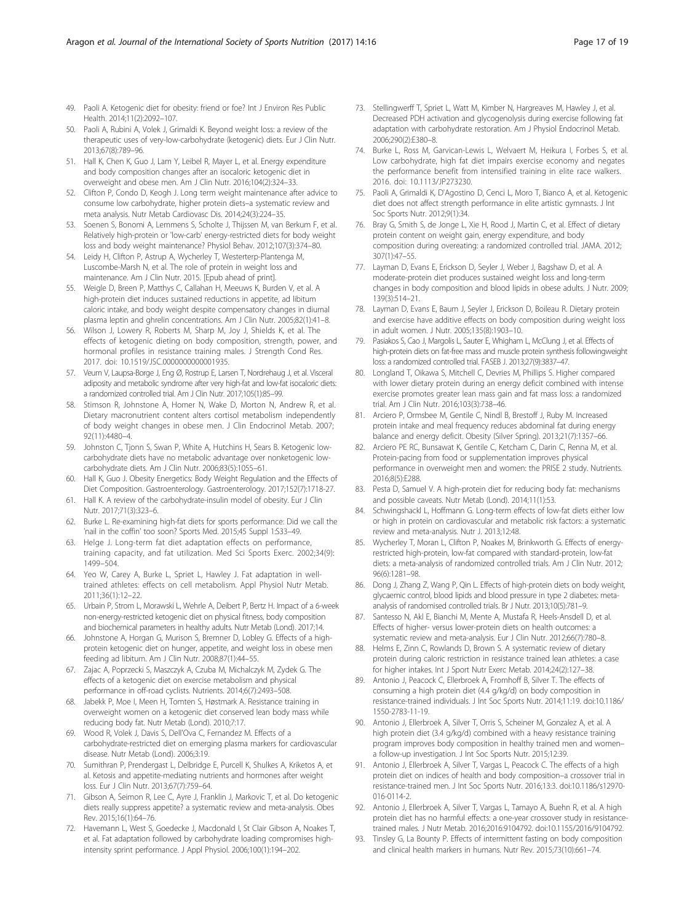- <span id="page-16-0"></span>49. Paoli A. Ketogenic diet for obesity: friend or foe? Int J Environ Res Public Health. 2014;11(2):2092–107.
- 50. Paoli A, Rubini A, Volek J, Grimaldi K. Beyond weight loss: a review of the therapeutic uses of very-low-carbohydrate (ketogenic) diets. Eur J Clin Nutr. 2013;67(8):789–96.
- 51. Hall K, Chen K, Guo J, Lam Y, Leibel R, Mayer L, et al. Energy expenditure and body composition changes after an isocaloric ketogenic diet in overweight and obese men. Am J Clin Nutr. 2016;104(2):324–33.
- 52. Clifton P, Condo D, Keogh J. Long term weight maintenance after advice to consume low carbohydrate, higher protein diets–a systematic review and meta analysis. Nutr Metab Cardiovasc Dis. 2014;24(3):224–35.
- 53. Soenen S, Bonomi A, Lemmens S, Scholte J, Thijssen M, van Berkum F, et al. Relatively high-protein or 'low-carb' energy-restricted diets for body weight loss and body weight maintenance? Physiol Behav. 2012;107(3):374–80.
- 54. Leidy H, Clifton P, Astrup A, Wycherley T, Westerterp-Plantenga M, Luscombe-Marsh N, et al. The role of protein in weight loss and maintenance. Am J Clin Nutr. 2015. [Epub ahead of print].
- 55. Weigle D, Breen P, Matthys C, Callahan H, Meeuws K, Burden V, et al. A high-protein diet induces sustained reductions in appetite, ad libitum caloric intake, and body weight despite compensatory changes in diurnal plasma leptin and ghrelin concentrations. Am J Clin Nutr. 2005;82(1):41–8.
- 56. Wilson J, Lowery R, Roberts M, Sharp M, Joy J, Shields K, et al. The effects of ketogenic dieting on body composition, strength, power, and hormonal profiles in resistance training males. J Strength Cond Res. 2017. doi: [10.1519/JSC.0000000000001935](http://dx.doi.org/10.1519/JSC.0000000000001935).
- 57. Veum V, Laupsa-Borge J, Eng Ø, Rostrup E, Larsen T, Nordrehaug J, et al. Visceral adiposity and metabolic syndrome after very high-fat and low-fat isocaloric diets: a randomized controlled trial. Am J Clin Nutr. 2017;105(1):85–99.
- 58. Stimson R, Johnstone A, Homer N, Wake D, Morton N, Andrew R, et al. Dietary macronutrient content alters cortisol metabolism independently of body weight changes in obese men. J Clin Endocrinol Metab. 2007; 92(11):4480–4.
- 59. Johnston C, Tjonn S, Swan P, White A, Hutchins H, Sears B. Ketogenic lowcarbohydrate diets have no metabolic advantage over nonketogenic lowcarbohydrate diets. Am J Clin Nutr. 2006;83(5):1055–61.
- 60. Hall K, Guo J. Obesity Energetics: Body Weight Regulation and the Effects of Diet Composition. Gastroenterology. Gastroenterology. 2017;152(7):1718-27.
- 61. Hall K. A review of the carbohydrate-insulin model of obesity. Eur J Clin Nutr. 2017;71(3):323–6.
- Burke L. Re-examining high-fat diets for sports performance: Did we call the 'nail in the coffin' too soon? Sports Med. 2015;45 Suppl 1:S33–49.
- 63. Helge J. Long-term fat diet adaptation effects on performance, training capacity, and fat utilization. Med Sci Sports Exerc. 2002;34(9): 1499–504.
- 64. Yeo W, Carey A, Burke L, Spriet L, Hawley J. Fat adaptation in welltrained athletes: effects on cell metabolism. Appl Physiol Nutr Metab. 2011;36(1):12–22.
- 65. Urbain P, Strom L, Morawski L, Wehrle A, Deibert P, Bertz H. Impact of a 6-week non-energy-restricted ketogenic diet on physical fitness, body composition and biochemical parameters in healthy adults. Nutr Metab (Lond). 2017;14.
- 66. Johnstone A, Horgan G, Murison S, Bremner D, Lobley G. Effects of a highprotein ketogenic diet on hunger, appetite, and weight loss in obese men feeding ad libitum. Am J Clin Nutr. 2008;87(1):44–55.
- 67. Zajac A, Poprzecki S, Maszczyk A, Czuba M, Michalczyk M, Zydek G. The effects of a ketogenic diet on exercise metabolism and physical performance in off-road cyclists. Nutrients. 2014;6(7):2493–508.
- 68. Jabekk P, Moe I, Meen H, Tomten S, Høstmark A. Resistance training in overweight women on a ketogenic diet conserved lean body mass while reducing body fat. Nutr Metab (Lond). 2010;7:17.
- 69. Wood R, Volek J, Davis S, Dell'Ova C, Fernandez M. Effects of a carbohydrate-restricted diet on emerging plasma markers for cardiovascular disease. Nutr Metab (Lond). 2006;3:19.
- 70. Sumithran P, Prendergast L, Delbridge E, Purcell K, Shulkes A, Kriketos A, et al. Ketosis and appetite-mediating nutrients and hormones after weight loss. Eur J Clin Nutr. 2013;67(7):759–64.
- 71. Gibson A, Seimon R, Lee C, Ayre J, Franklin J, Markovic T, et al. Do ketogenic diets really suppress appetite? a systematic review and meta-analysis. Obes Rev. 2015;16(1):64–76.
- 72. Havemann L, West S, Goedecke J, Macdonald I, St Clair Gibson A, Noakes T, et al. Fat adaptation followed by carbohydrate loading compromises highintensity sprint performance. J Appl Physiol. 2006;100(1):194–202.
- 73. Stellingwerff T, Spriet L, Watt M, Kimber N, Hargreaves M, Hawley J, et al. Decreased PDH activation and glycogenolysis during exercise following fat adaptation with carbohydrate restoration. Am J Physiol Endocrinol Metab. 2006;290(2):E380–8.
- 74. Burke L, Ross M, Garvican-Lewis L, Welvaert M, Heikura I, Forbes S, et al. Low carbohydrate, high fat diet impairs exercise economy and negates the performance benefit from intensified training in elite race walkers. 2016. doi: [10.1113/JP273230](http://dx.doi.org/10.1113/JP273230).
- 75. Paoli A, Grimaldi K, D'Agostino D, Cenci L, Moro T, Bianco A, et al. Ketogenic diet does not affect strength performance in elite artistic gymnasts. J Int Soc Sports Nutr. 2012;9(1):34.
- 76. Bray G, Smith S, de Jonge L, Xie H, Rood J, Martin C, et al. Effect of dietary protein content on weight gain, energy expenditure, and body composition during overeating: a randomized controlled trial. JAMA. 2012; 307(1):47–55.
- 77. Layman D, Evans E, Erickson D, Seyler J, Weber J, Bagshaw D, et al. A moderate-protein diet produces sustained weight loss and long-term changes in body composition and blood lipids in obese adults. J Nutr. 2009; 139(3):514–21.
- 78. Layman D, Evans E, Baum J, Seyler J, Erickson D, Boileau R. Dietary protein and exercise have additive effects on body composition during weight loss in adult women. J Nutr. 2005;135(8):1903–10.
- 79. Pasiakos S, Cao J, Margolis L, Sauter E, Whigham L, McClung J, et al. Effects of high-protein diets on fat-free mass and muscle protein synthesis followingweight loss: a randomized controlled trial. FASEB J. 2013;27(9):3837–47.
- 80. Longland T, Oikawa S, Mitchell C, Devries M, Phillips S. Higher compared with lower dietary protein during an energy deficit combined with intense exercise promotes greater lean mass gain and fat mass loss: a randomized trial. Am J Clin Nutr. 2016;103(3):738–46.
- 81. Arciero P, Ormsbee M, Gentile C, Nindl B, Brestoff J, Ruby M. Increased protein intake and meal frequency reduces abdominal fat during energy balance and energy deficit. Obesity (Silver Spring). 2013;21(7):1357–66.
- 82. Arciero PE RC, Bunsawat K, Gentile C, Ketcham C, Darin C, Renna M, et al. Protein-pacing from food or supplementation improves physical performance in overweight men and women: the PRISE 2 study. Nutrients. 2016;8(5):E288.
- 83. Pesta D, Samuel V. A high-protein diet for reducing body fat: mechanisms and possible caveats. Nutr Metab (Lond). 2014;11(1):53.
- 84. Schwingshackl L, Hoffmann G. Long-term effects of low-fat diets either low or high in protein on cardiovascular and metabolic risk factors: a systematic review and meta-analysis. Nutr J. 2013;12:48.
- 85. Wycherley T, Moran L, Clifton P, Noakes M, Brinkworth G. Effects of energyrestricted high-protein, low-fat compared with standard-protein, low-fat diets: a meta-analysis of randomized controlled trials. Am J Clin Nutr. 2012; 96(6):1281–98.
- 86. Dong J, Zhang Z, Wang P, Qin L. Effects of high-protein diets on body weight, glycaemic control, blood lipids and blood pressure in type 2 diabetes: metaanalysis of randomised controlled trials. Br J Nutr. 2013;10(5):781–9.
- 87. Santesso N, Akl E, Bianchi M, Mente A, Mustafa R, Heels-Ansdell D, et al. Effects of higher- versus lower-protein diets on health outcomes: a systematic review and meta-analysis. Eur J Clin Nutr. 2012;66(7):780–8.
- Helms E, Zinn C, Rowlands D, Brown S. A systematic review of dietary protein during caloric restriction in resistance trained lean athletes: a case for higher intakes. Int J Sport Nutr Exerc Metab. 2014;24(2):127–38.
- 89. Antonio J, Peacock C, Ellerbroek A, Fromhoff B, Silver T. The effects of consuming a high protein diet (4.4 g/kg/d) on body composition in resistance-trained individuals. J Int Soc Sports Nutr. 2014;11:19. doi:[10.1186/](http://dx.doi.org/10.1186/1550-2783-11-19) [1550-2783-11-19.](http://dx.doi.org/10.1186/1550-2783-11-19)
- 90. Antonio J, Ellerbroek A, Silver T, Orris S, Scheiner M, Gonzalez A, et al. A high protein diet (3.4 g/kg/d) combined with a heavy resistance training program improves body composition in healthy trained men and women– a follow-up investigation. J Int Soc Sports Nutr. 2015;12:39.
- 91. Antonio J, Ellerbroek A, Silver T, Vargas L, Peacock C. The effects of a high protein diet on indices of health and body composition–a crossover trial in resistance-trained men. J Int Soc Sports Nutr. 2016;13:3. doi[:10.1186/s12970-](http://dx.doi.org/10.1186/s12970-016-0114-2) [016-0114-2](http://dx.doi.org/10.1186/s12970-016-0114-2).
- 92. Antonio J, Ellerbroek A, Silver T, Vargas L, Tamayo A, Buehn R, et al. A high protein diet has no harmful effects: a one-year crossover study in resistancetrained males. J Nutr Metab. 2016;2016:9104792. doi[:10.1155/2016/9104792.](http://dx.doi.org/10.1155/2016/9104792)
- 93. Tinsley G, La Bounty P. Effects of intermittent fasting on body composition and clinical health markers in humans. Nutr Rev. 2015;73(10):661–74.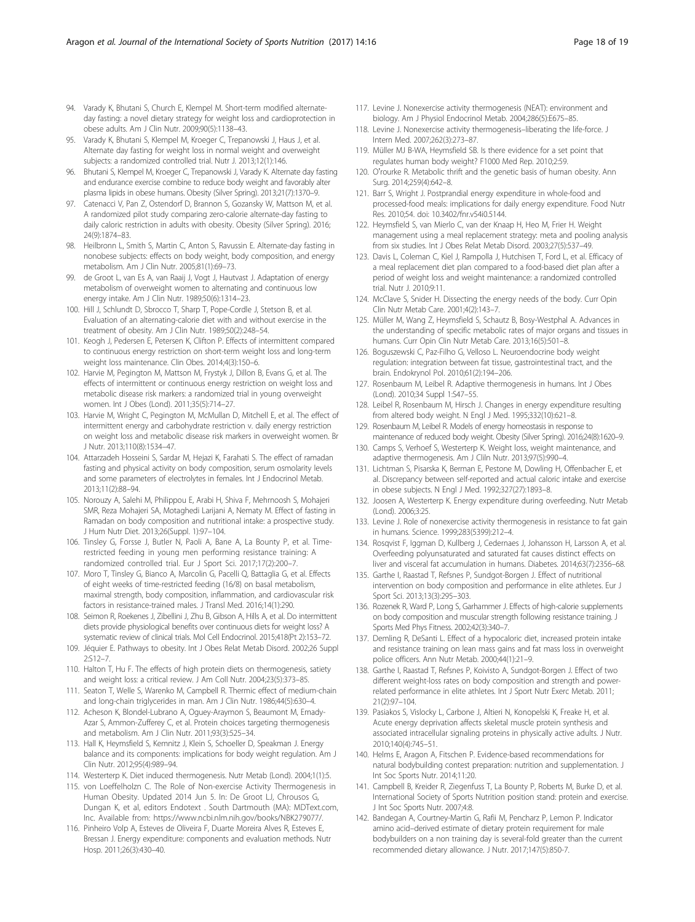- <span id="page-17-0"></span>94. Varady K, Bhutani S, Church E, Klempel M. Short-term modified alternateday fasting: a novel dietary strategy for weight loss and cardioprotection in obese adults. Am J Clin Nutr. 2009;90(5):1138–43.
- 95. Varady K, Bhutani S, Klempel M, Kroeger C, Trepanowski J, Haus J, et al. Alternate day fasting for weight loss in normal weight and overweight subjects: a randomized controlled trial. Nutr J. 2013;12(1):146.
- 96. Bhutani S, Klempel M, Kroeger C, Trepanowski J, Varady K. Alternate day fasting and endurance exercise combine to reduce body weight and favorably alter plasma lipids in obese humans. Obesity (Silver Spring). 2013;21(7):1370–9.
- 97. Catenacci V, Pan Z, Ostendorf D, Brannon S, Gozansky W, Mattson M, et al. A randomized pilot study comparing zero-calorie alternate-day fasting to daily caloric restriction in adults with obesity. Obesity (Silver Spring). 2016; 24(9):1874–83.
- 98. Heilbronn L, Smith S, Martin C, Anton S, Ravussin E. Alternate-day fasting in nonobese subjects: effects on body weight, body composition, and energy metabolism. Am J Clin Nutr. 2005;81(1):69–73.
- 99. de Groot L, van Es A, van Raaij J, Vogt J, Hautvast J. Adaptation of energy metabolism of overweight women to alternating and continuous low energy intake. Am J Clin Nutr. 1989;50(6):1314–23.
- 100. Hill J, Schlundt D, Sbrocco T, Sharp T, Pope-Cordle J, Stetson B, et al. Evaluation of an alternating-calorie diet with and without exercise in the treatment of obesity. Am J Clin Nutr. 1989;50(2):248–54.
- 101. Keogh J, Pedersen E, Petersen K, Clifton P. Effects of intermittent compared to continuous energy restriction on short-term weight loss and long-term weight loss maintenance. Clin Obes. 2014;4(3):150–6.
- 102. Harvie M, Pegington M, Mattson M, Frystyk J, Dillon B, Evans G, et al. The effects of intermittent or continuous energy restriction on weight loss and metabolic disease risk markers: a randomized trial in young overweight women. Int J Obes (Lond). 2011;35(5):714–27.
- 103. Harvie M, Wright C, Pegington M, McMullan D, Mitchell E, et al. The effect of intermittent energy and carbohydrate restriction v. daily energy restriction on weight loss and metabolic disease risk markers in overweight women. Br J Nutr. 2013;110(8):1534–47.
- 104. Attarzadeh Hosseini S, Sardar M, Hejazi K, Farahati S. The effect of ramadan fasting and physical activity on body composition, serum osmolarity levels and some parameters of electrolytes in females. Int J Endocrinol Metab. 2013;11(2):88–94.
- 105. Norouzy A, Salehi M, Philippou E, Arabi H, Shiva F, Mehrnoosh S, Mohajeri SMR, Reza Mohajeri SA, Motaghedi Larijani A, Nematy M. Effect of fasting in Ramadan on body composition and nutritional intake: a prospective study. J Hum Nutr Diet. 2013;26(Suppl. 1):97–104.
- 106. Tinsley G, Forsse J, Butler N, Paoli A, Bane A, La Bounty P, et al. Timerestricted feeding in young men performing resistance training: A randomized controlled trial. Eur J Sport Sci. 2017;17(2):200–7.
- 107. Moro T, Tinsley G, Bianco A, Marcolin G, Pacelli Q, Battaglia G, et al. Effects of eight weeks of time-restricted feeding (16/8) on basal metabolism, maximal strength, body composition, inflammation, and cardiovascular risk factors in resistance-trained males. J Transl Med. 2016;14(1):290.
- 108. Seimon R, Roekenes J, Zibellini J, Zhu B, Gibson A, Hills A, et al. Do intermittent diets provide physiological benefits over continuous diets for weight loss? A systematic review of clinical trials. Mol Cell Endocrinol. 2015;418(Pt 2):153–72.
- 109. Jéquier E. Pathways to obesity. Int J Obes Relat Metab Disord. 2002;26 Suppl 2:S12–7.
- 110. Halton T, Hu F. The effects of high protein diets on thermogenesis, satiety and weight loss: a critical review. J Am Coll Nutr. 2004;23(5):373–85.
- 111. Seaton T, Welle S, Warenko M, Campbell R. Thermic effect of medium-chain and long-chain triglycerides in man. Am J Clin Nutr. 1986;44(5):630–4.
- 112. Acheson K, Blondel-Lubrano A, Oguey-Araymon S, Beaumont M, Emady-Azar S, Ammon-Zufferey C, et al. Protein choices targeting thermogenesis and metabolism. Am J Clin Nutr. 2011;93(3):525–34.
- 113. Hall K, Heymsfield S, Kemnitz J, Klein S, Schoeller D, Speakman J. Energy balance and its components: implications for body weight regulation. Am J Clin Nutr. 2012;95(4):989–94.
- 114. Westerterp K. Diet induced thermogenesis. Nutr Metab (Lond). 2004;1(1):5.
- 115. von Loeffelholzn C. The Role of Non-exercise Activity Thermogenesis in Human Obesity. Updated 2014 Jun 5. In: De Groot LJ, Chrousos G, Dungan K, et al, editors Endotext . South Dartmouth (MA): MDText.com, Inc. Available from: [https://www.ncbi.nlm.nih.gov/books/NBK279077/.](https://www.ncbi.nlm.nih.gov/books/NBK279077/)
- 116. Pinheiro Volp A, Esteves de Oliveira F, Duarte Moreira Alves R, Esteves E, Bressan J. Energy expenditure: components and evaluation methods. Nutr Hosp. 2011;26(3):430–40.
- 117. Levine J. Nonexercise activity thermogenesis (NEAT): environment and biology. Am J Physiol Endocrinol Metab. 2004;286(5):E675–85.
- 118. Levine J. Nonexercise activity thermogenesis–liberating the life-force. J Intern Med. 2007;262(3):273–87.
- 119. Müller MJ B-WA, Heymsfield SB. Is there evidence for a set point that regulates human body weight? F1000 Med Rep. 2010;2:59.
- 120. O'rourke R. Metabolic thrift and the genetic basis of human obesity. Ann Surg. 2014;259(4):642–8.
- 121. Barr S, Wright J. Postprandial energy expenditure in whole-food and processed-food meals: implications for daily energy expenditure. Food Nutr Res. 2010;54. doi: [10.3402/fnr.v54i0.5144.](http://dx.doi.org/10.3402/fnr.v54i0.5144)
- 122. Heymsfield S, van Mierlo C, van der Knaap H, Heo M, Frier H. Weight management using a meal replacement strategy: meta and pooling analysis from six studies. Int J Obes Relat Metab Disord. 2003;27(5):537–49.
- 123. Davis L, Coleman C, Kiel J, Rampolla J, Hutchisen T, Ford L, et al. Efficacy of a meal replacement diet plan compared to a food-based diet plan after a period of weight loss and weight maintenance: a randomized controlled trial. Nutr J. 2010;9:11.
- 124. McClave S, Snider H. Dissecting the energy needs of the body. Curr Opin Clin Nutr Metab Care. 2001;4(2):143–7.
- 125. Müller M, Wang Z, Heymsfield S, Schautz B, Bosy-Westphal A. Advances in the understanding of specific metabolic rates of major organs and tissues in humans. Curr Opin Clin Nutr Metab Care. 2013;16(5):501–8.
- 126. Boguszewski C, Paz-Filho G, Velloso L. Neuroendocrine body weight regulation: integration between fat tissue, gastrointestinal tract, and the brain. Endokrynol Pol. 2010;61(2):194–206.
- 127. Rosenbaum M, Leibel R. Adaptive thermogenesis in humans. Int J Obes (Lond). 2010;34 Suppl 1:S47–55.
- 128. Leibel R, Rosenbaum M, Hirsch J. Changes in energy expenditure resulting from altered body weight. N Engl J Med. 1995;332(10):621–8.
- 129. Rosenbaum M, Leibel R. Models of energy homeostasis in response to maintenance of reduced body weight. Obesity (Silver Spring). 2016;24(8):1620–9.
- 130. Camps S, Verhoef S, Westerterp K. Weight loss, weight maintenance, and adaptive thermogenesis. Am J Cliln Nutr. 2013;97(5):990–4.
- 131. Lichtman S, Pisarska K, Berman E, Pestone M, Dowling H, Offenbacher E, et al. Discrepancy between self-reported and actual caloric intake and exercise in obese subjects. N Engl J Med. 1992;327(27):1893–8.
- 132. Joosen A, Westerterp K. Energy expenditure during overfeeding. Nutr Metab (Lond). 2006;3:25.
- 133. Levine J. Role of nonexercise activity thermogenesis in resistance to fat gain in humans. Science. 1999;283(5399):212–4.
- 134. Rosqvist F, Iggman D, Kullberg J, Cedernaes J, Johansson H, Larsson A, et al. Overfeeding polyunsaturated and saturated fat causes distinct effects on liver and visceral fat accumulation in humans. Diabetes. 2014;63(7):2356–68.
- 135. Garthe I, Raastad T, Refsnes P, Sundgot-Borgen J. Effect of nutritional intervention on body composition and performance in elite athletes. Eur J Sport Sci. 2013;13(3):295–303.
- 136. Rozenek R, Ward P, Long S, Garhammer J. Effects of high-calorie supplements on body composition and muscular strength following resistance training. J Sports Med Phys Fitness. 2002;42(3):340–7.
- 137. Demling R, DeSanti L. Effect of a hypocaloric diet, increased protein intake and resistance training on lean mass gains and fat mass loss in overweight police officers. Ann Nutr Metab. 2000;44(1):21–9.
- 138. Garthe I, Raastad T, Refsnes P, Koivisto A, Sundgot-Borgen J. Effect of two different weight-loss rates on body composition and strength and powerrelated performance in elite athletes. Int J Sport Nutr Exerc Metab. 2011; 21(2):97–104.
- 139. Pasiakos S, Vislocky L, Carbone J, Altieri N, Konopelski K, Freake H, et al. Acute energy deprivation affects skeletal muscle protein synthesis and associated intracellular signaling proteins in physically active adults. J Nutr. 2010;140(4):745–51.
- 140. Helms E, Aragon A, Fitschen P. Evidence-based recommendations for natural bodybuilding contest preparation: nutrition and supplementation. J Int Soc Sports Nutr. 2014;11:20.
- 141. Campbell B, Kreider R, Ziegenfuss T, La Bounty P, Roberts M, Burke D, et al. International Society of Sports Nutrition position stand: protein and exercise. J Int Soc Sports Nutr. 2007;4:8.
- 142. Bandegan A, Courtney-Martin G, Rafii M, Pencharz P, Lemon P. Indicator amino acid–derived estimate of dietary protein requirement for male bodybuilders on a non training day is several-fold greater than the current recommended dietary allowance. J Nutr. 2017;147(5):850-7.